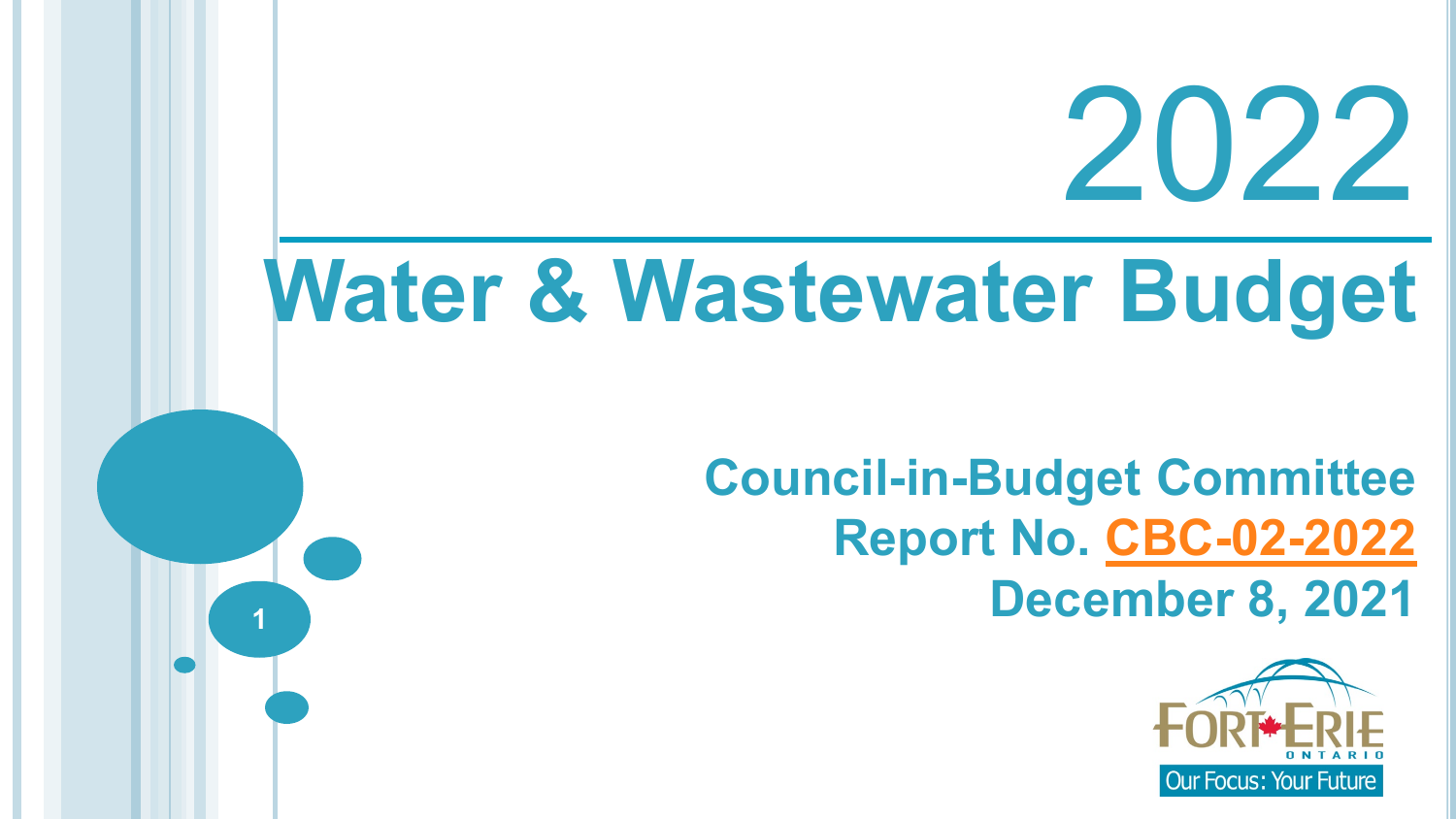# **Water & Wastewater Budget**

**1**

#### **Council-in-Budget Committee Report No. [CBC-02-2022](https://forterie.civicweb.net/FileStorage/1BFE75A39752401B835F51501479A42B-CBC-02-2022%20-%202022%20W_WW%20Operating%20Budget%20combined.pdf) December 8, 2021**



2022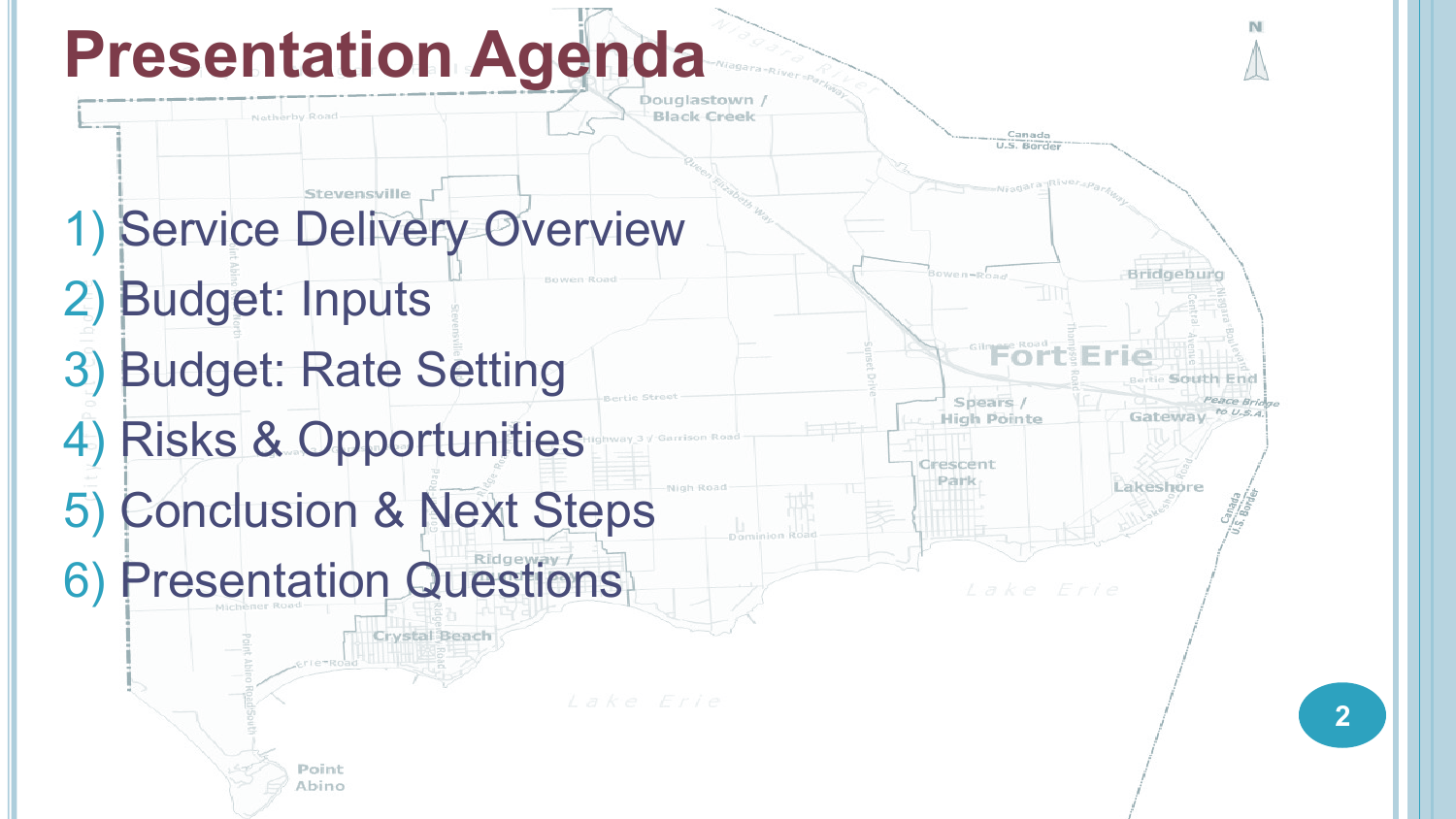# **Presentation Agenda**



- 2) Budget: Inputs
- 3) Budget: Rate Setting
- 4) Risks & Opportunities
- 5) Conclusion & Next Steps
- 6) Presentation Questions

Point Abino Crystal Beach

**Black Creek** 

Canada U.S. Border

Spears /

**High Pointe** 

Crescent Park

**Fort Erie** 

Bridgeburg

ertie South End

Gateway to U.s.A

Lakeshore

Peace Brid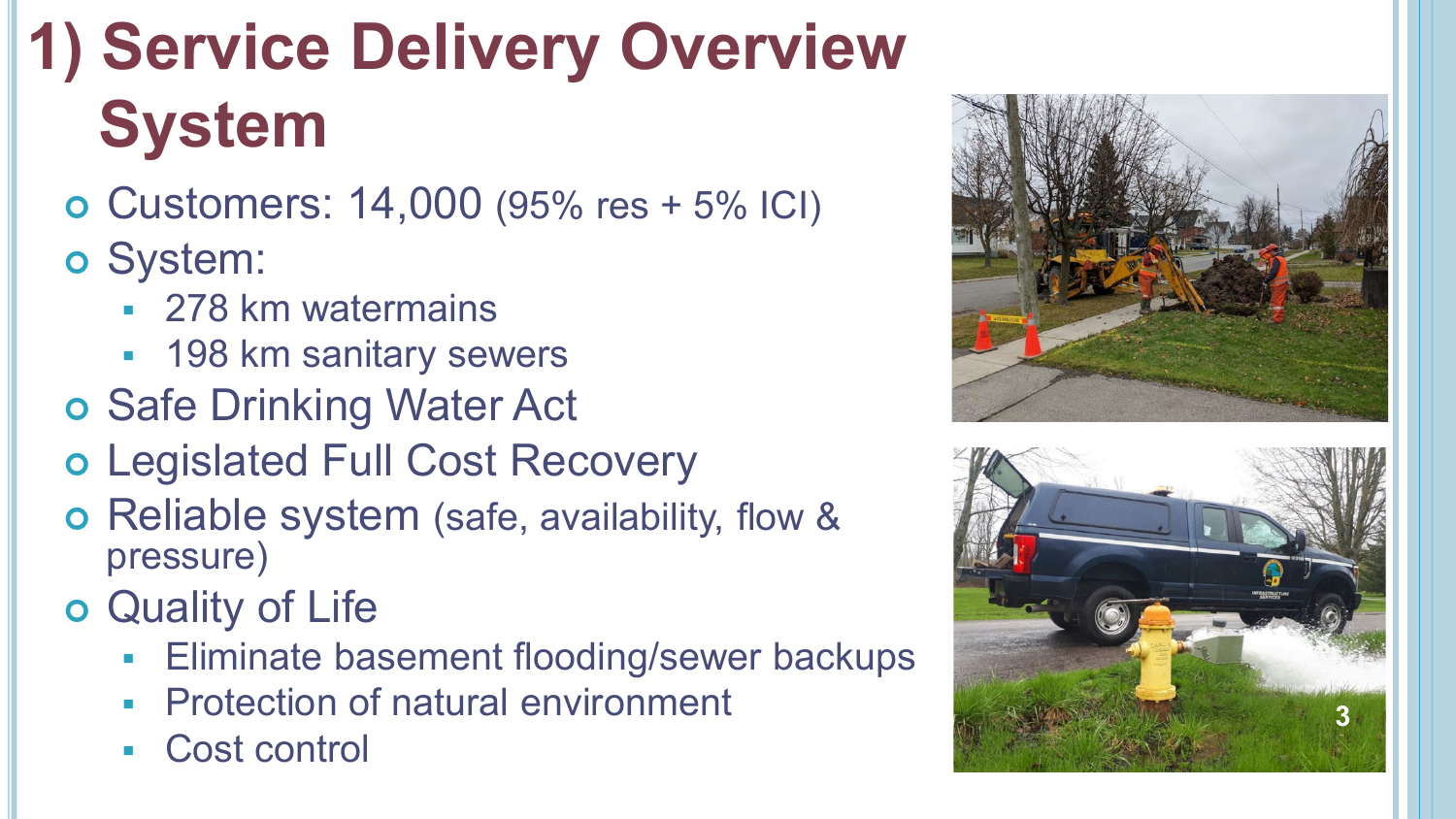# **1) Service Delivery Overview System**

- Customers: 14,000 (95% res + 5% ICI)
- System:
	- **278 km watermains**
	- **198 km sanitary sewers**
- o Safe Drinking Water Act
- Legislated Full Cost Recovery
- o Reliable system (safe, availability, flow & pressure)
- Quality of Life
	- **Eliminate basement flooding/sewer backups**
	- Protection of natural environment
	- Cost control



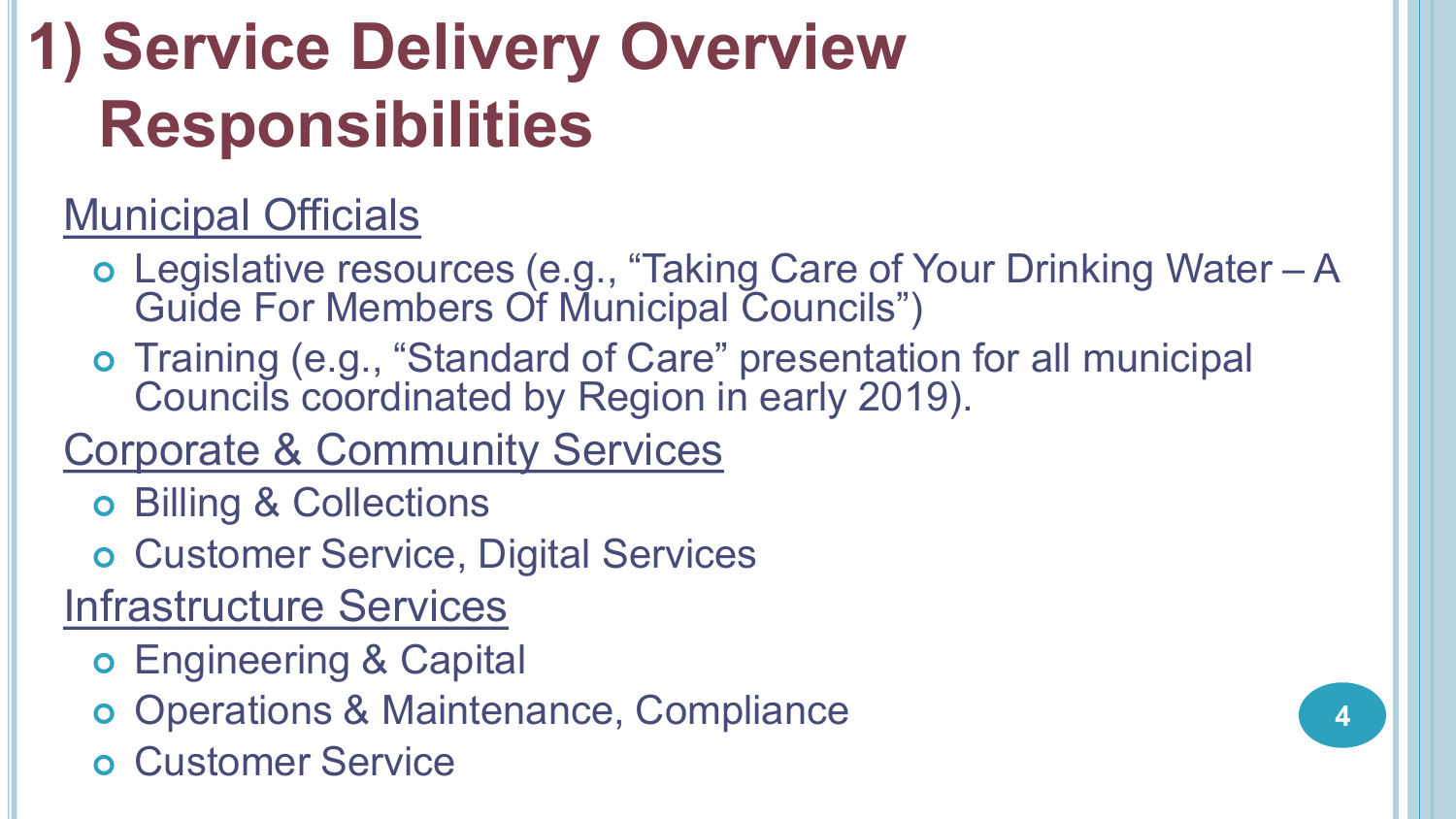## **1) Service Delivery Overview Responsibilities**

#### Municipal Officials

- Legislative resources (e.g., "Taking Care of Your Drinking Water A Guide For Members Of Municipal Councils")
- Training (e.g., "Standard of Care" presentation for all municipal Councils coordinated by Region in early 2019).

#### Corporate & Community Services

- o Billing & Collections
- Customer Service, Digital Services

Infrastructure Services

- Engineering & Capital
- o Operations & Maintenance, Compliance
- Customer Service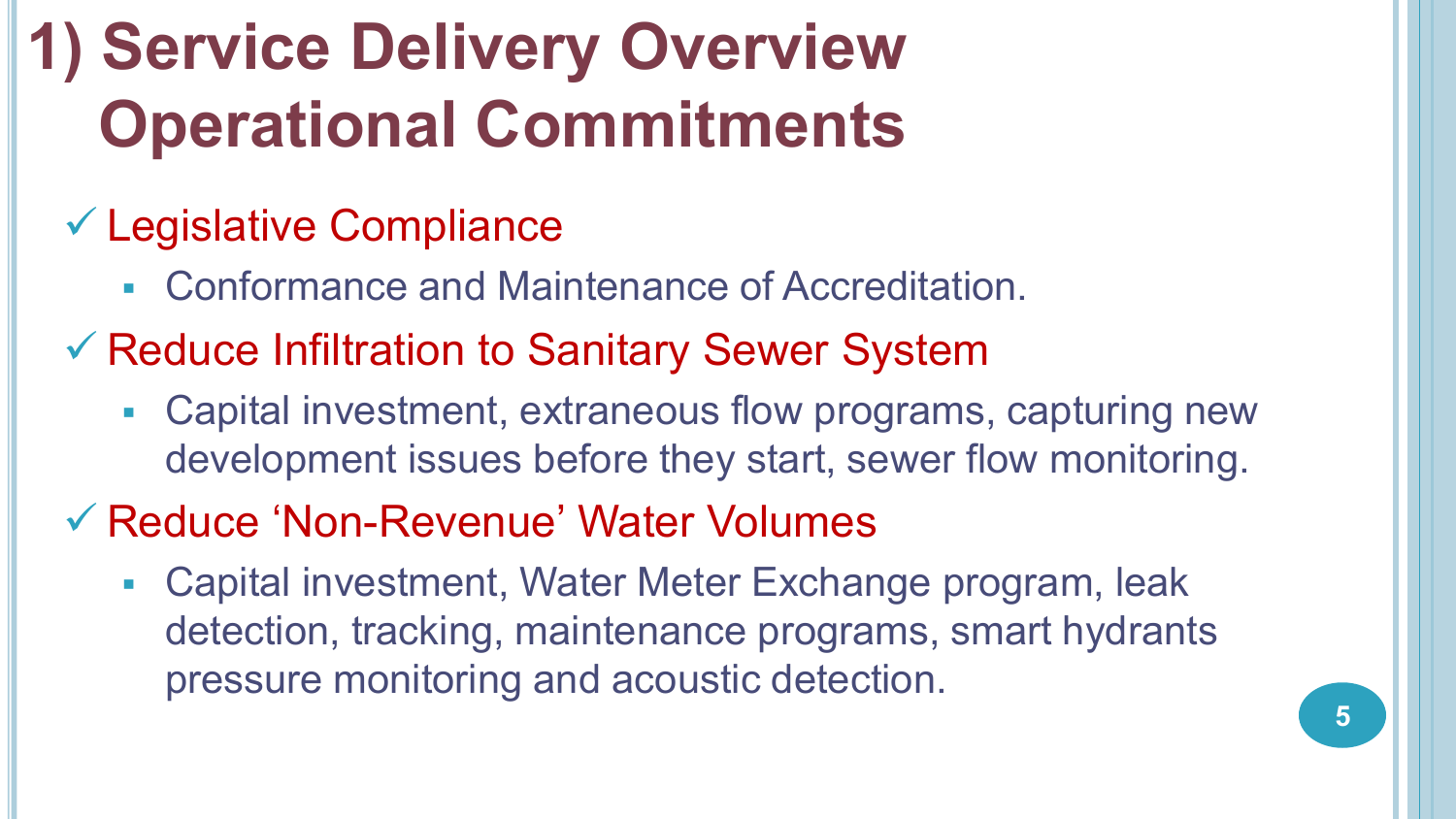## **1) Service Delivery Overview Operational Commitments**

- Legislative Compliance
	- Conformance and Maintenance of Accreditation.
- Reduce Infiltration to Sanitary Sewer System
	- Capital investment, extraneous flow programs, capturing new development issues before they start, sewer flow monitoring.
- Reduce 'Non-Revenue' Water Volumes
	- Capital investment, Water Meter Exchange program, leak detection, tracking, maintenance programs, smart hydrants pressure monitoring and acoustic detection.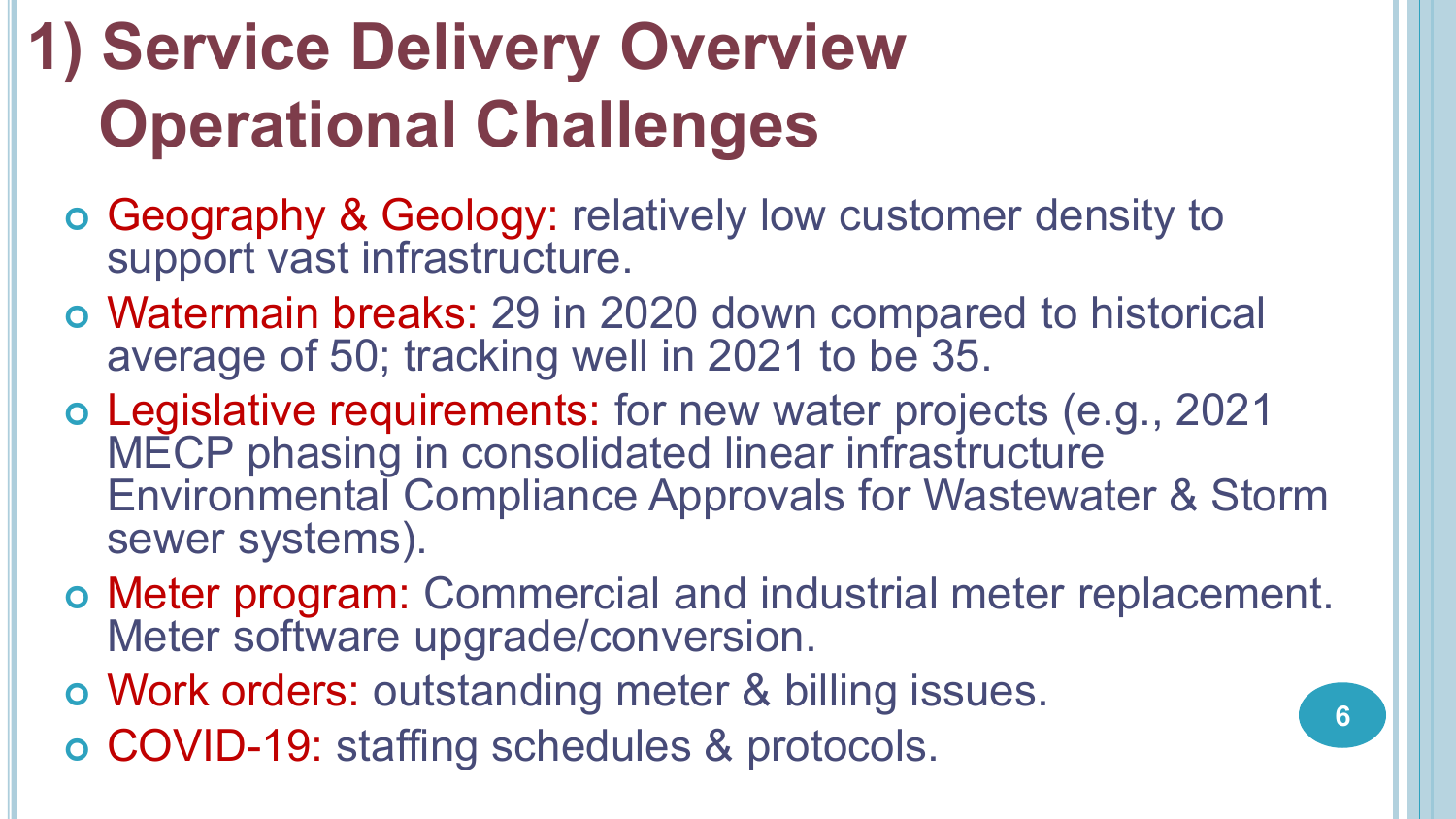## **1) Service Delivery Overview Operational Challenges**

- Geography & Geology: relatively low customer density to support vast infrastructure.
- Watermain breaks: 29 in 2020 down compared to historical average of 50; tracking well in 2021 to be 35.
- Legislative requirements: for new water projects (e.g., 2021 MECP phasing in consolidated linear infrastructure Environmental Compliance Approvals for Wastewater & Storm sewer systems).
- Meter program: Commercial and industrial meter replacement. Meter software upgrade/conversion.
- Work orders: outstanding meter & billing issues.
- COVID-19: staffing schedules & protocols.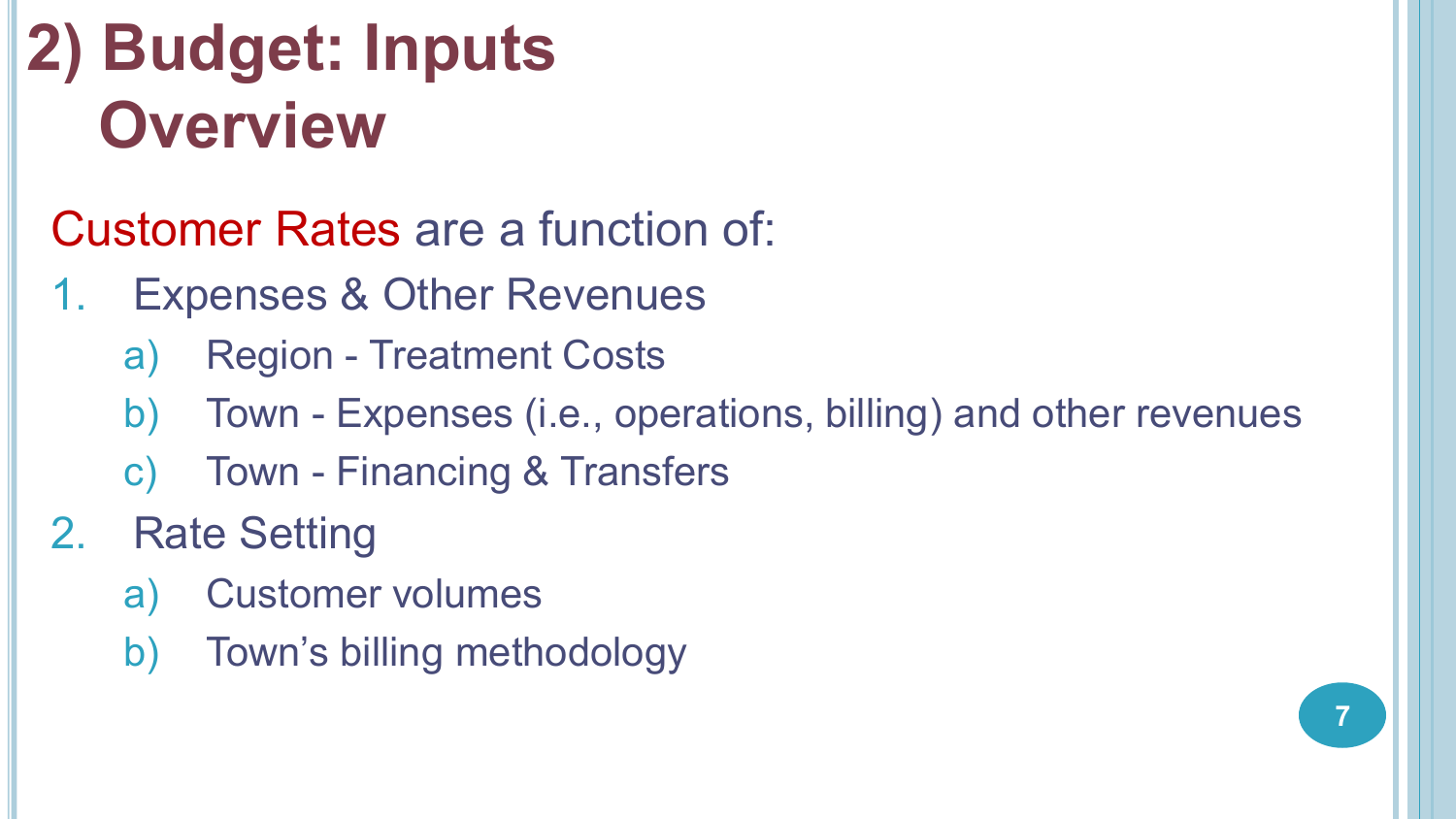#### **2) Budget: Inputs Overview**

Customer Rates are a function of:

- 1. Expenses & Other Revenues
	- a) Region Treatment Costs
	- b) Town Expenses (i.e., operations, billing) and other revenues
	- c) Town Financing & Transfers
- 2. Rate Setting
	- a) Customer volumes
	- b) Town's billing methodology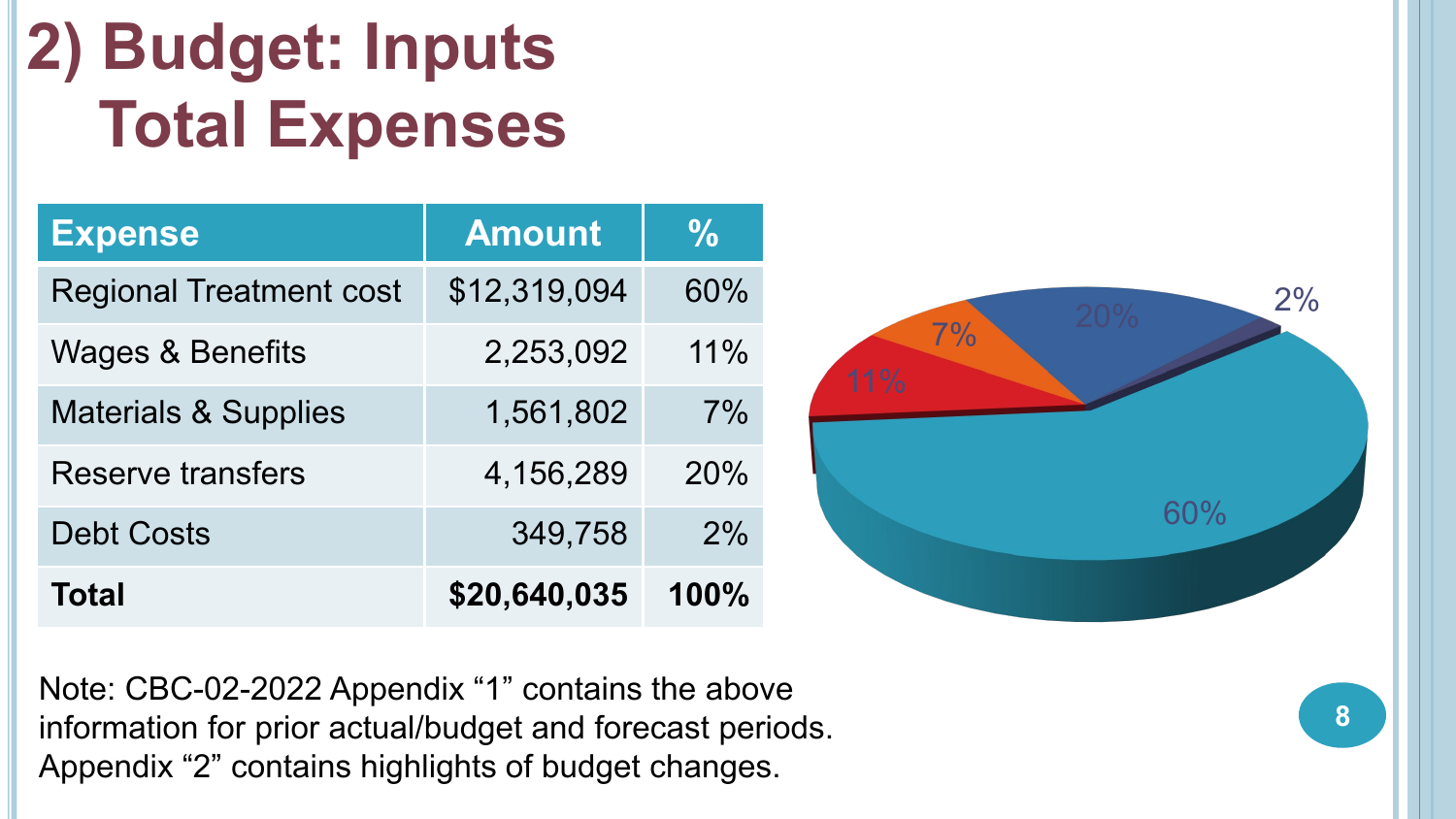#### **2) Budget: Inputs Total Expenses**

| <b>Expense</b>                  | <b>Amount</b> | $\%$ |
|---------------------------------|---------------|------|
| <b>Regional Treatment cost</b>  | \$12,319,094  | 60%  |
| <b>Wages &amp; Benefits</b>     | 2,253,092     | 11%  |
| <b>Materials &amp; Supplies</b> | 1,561,802     | 7%   |
| <b>Reserve transfers</b>        | 4,156,289     | 20%  |
| <b>Debt Costs</b>               | 349,758       | 2%   |
| <b>Total</b>                    | \$20,640,035  | 100% |



Note: CBC-02-2022 Appendix "1" contains the above information for prior actual/budget and forecast periods. Appendix "2" contains highlights of budget changes.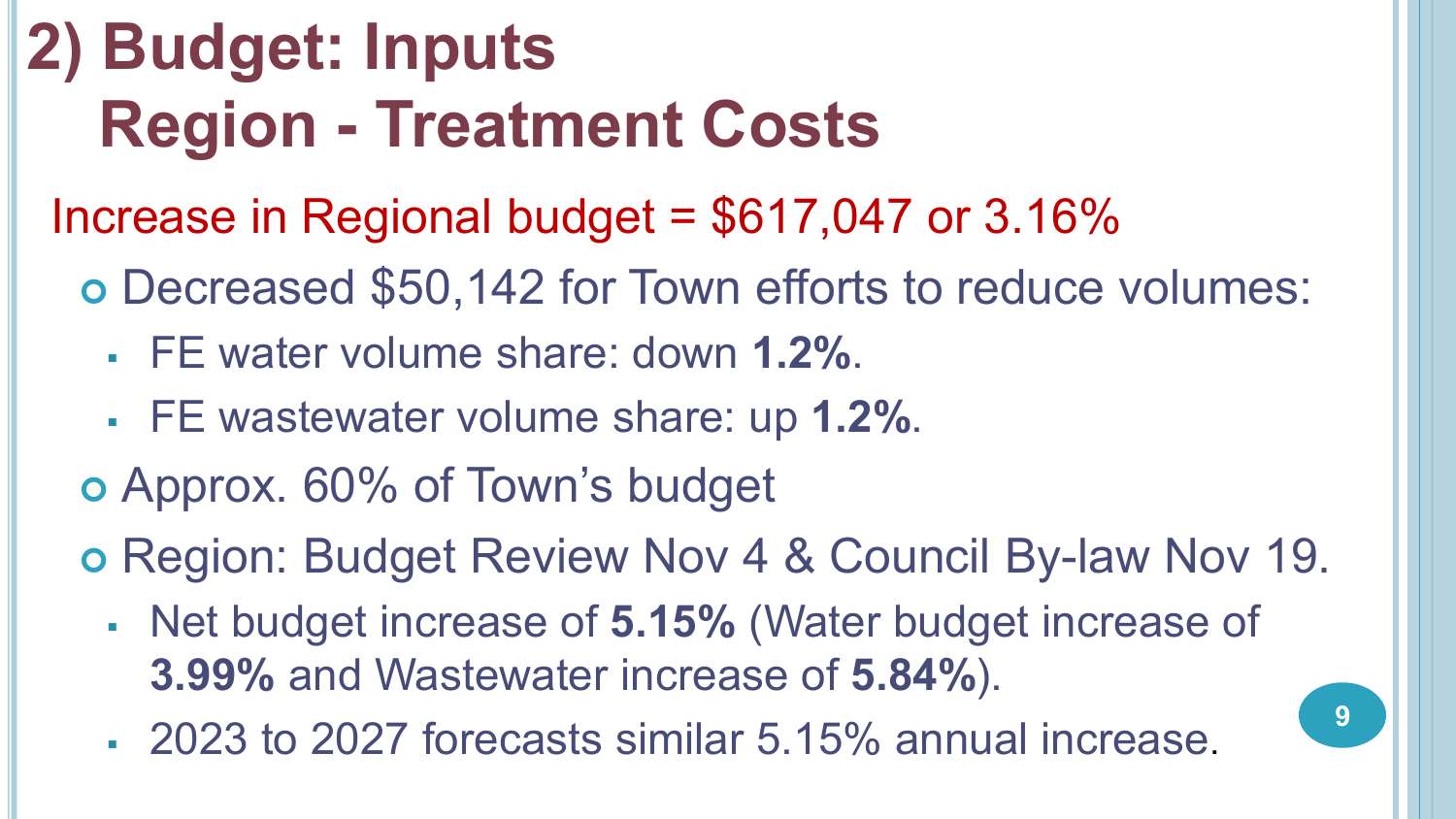## **2) Budget: Inputs Region - Treatment Costs**

- Increase in Regional budget =  $$617,047$  or 3.16%
	- Decreased \$50,142 for Town efforts to reduce volumes:
		- FE water volume share: down **1.2%**.
		- FE wastewater volume share: up **1.2%**.
	- Approx. 60% of Town's budget

o Region: Budget Review Nov 4 & Council By-law Nov 19.

- Net budget increase of **5.15%** (Water budget increase of **3.99%** and Wastewater increase of **5.84%**).
- 2023 to 2027 forecasts similar 5.15% annual increase. **<sup>9</sup>**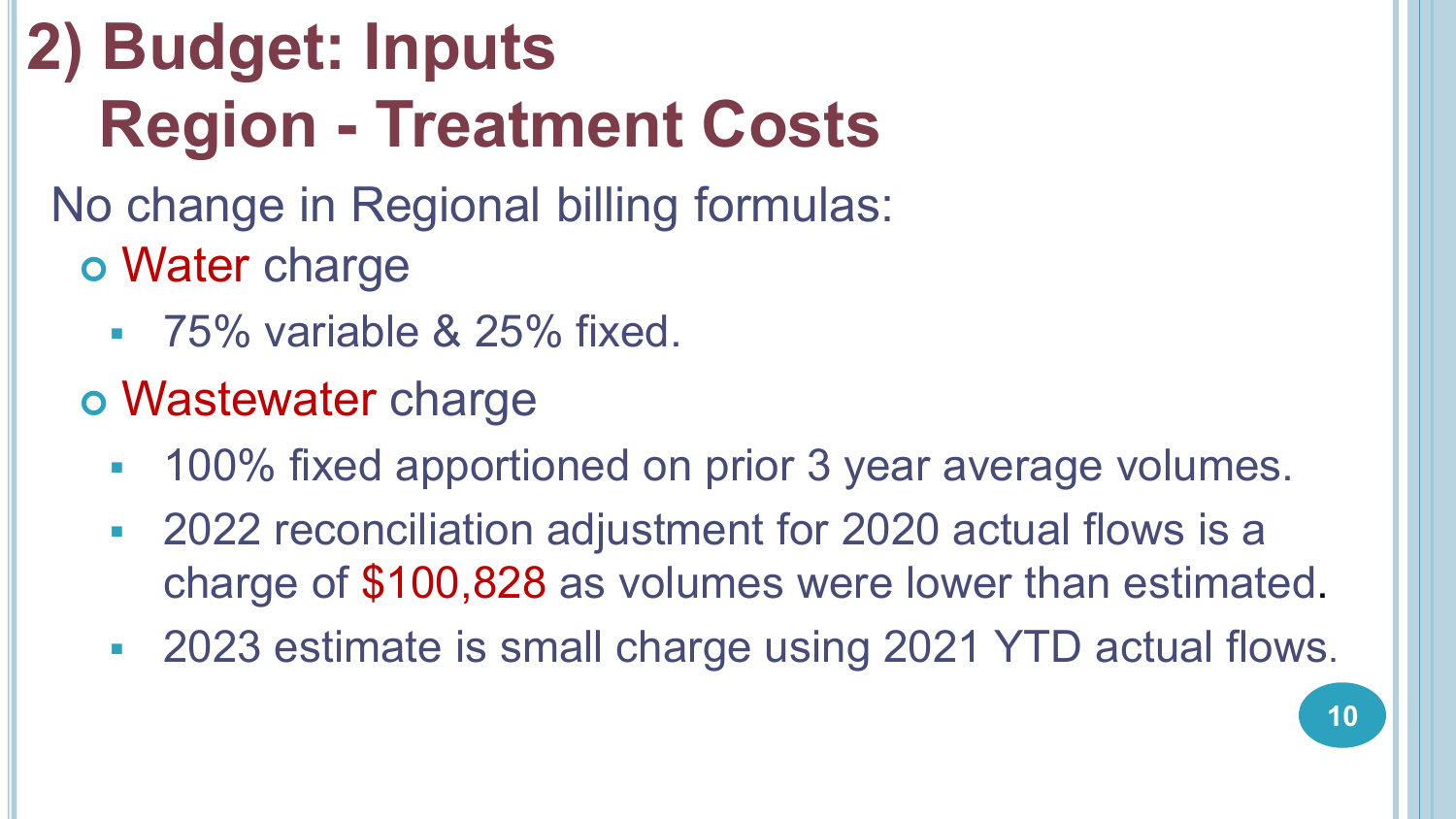## **2) Budget: Inputs Region - Treatment Costs**

- No change in Regional billing formulas: Water charge
	- 75% variable & 25% fixed.
	- Wastewater charge
		- 100% fixed apportioned on prior 3 year average volumes.
		- 2022 reconciliation adjustment for 2020 actual flows is a charge of \$100,828 as volumes were lower than estimated.
		- 2023 estimate is small charge using 2021 YTD actual flows.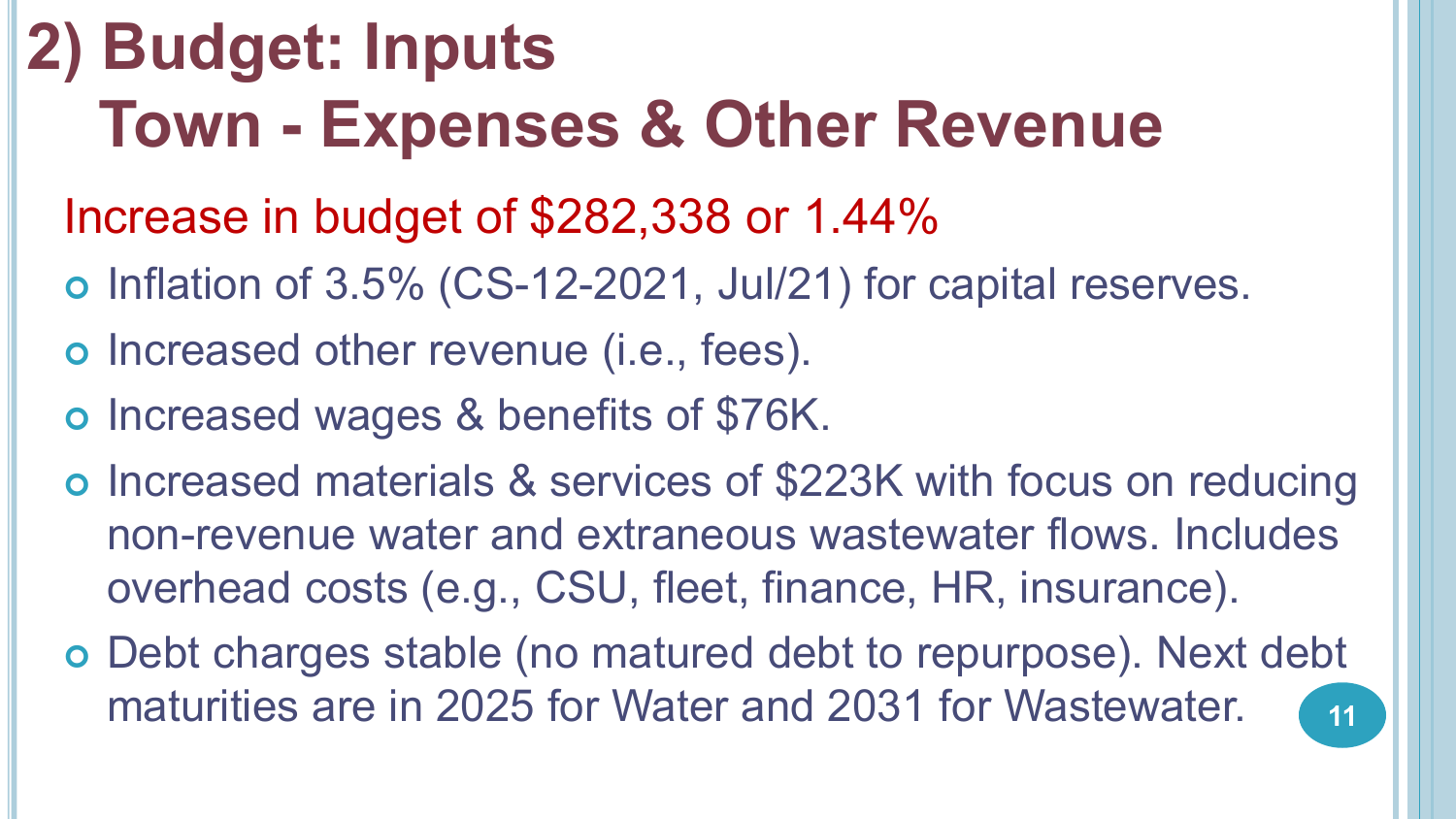#### **2) Budget: Inputs Town - Expenses & Other Revenue**

Increase in budget of \$282,338 or 1.44%

- o Inflation of 3.5% (CS-12-2021, Jul/21) for capital reserves.
- o Increased other revenue (i.e., fees).
- o Increased wages & benefits of \$76K.
- o Increased materials & services of \$223K with focus on reducing non-revenue water and extraneous wastewater flows. Includes overhead costs (e.g., CSU, fleet, finance, HR, insurance).
- Debt charges stable (no matured debt to repurpose). Next debt maturities are in 2025 for Water and 2031 for Wastewater.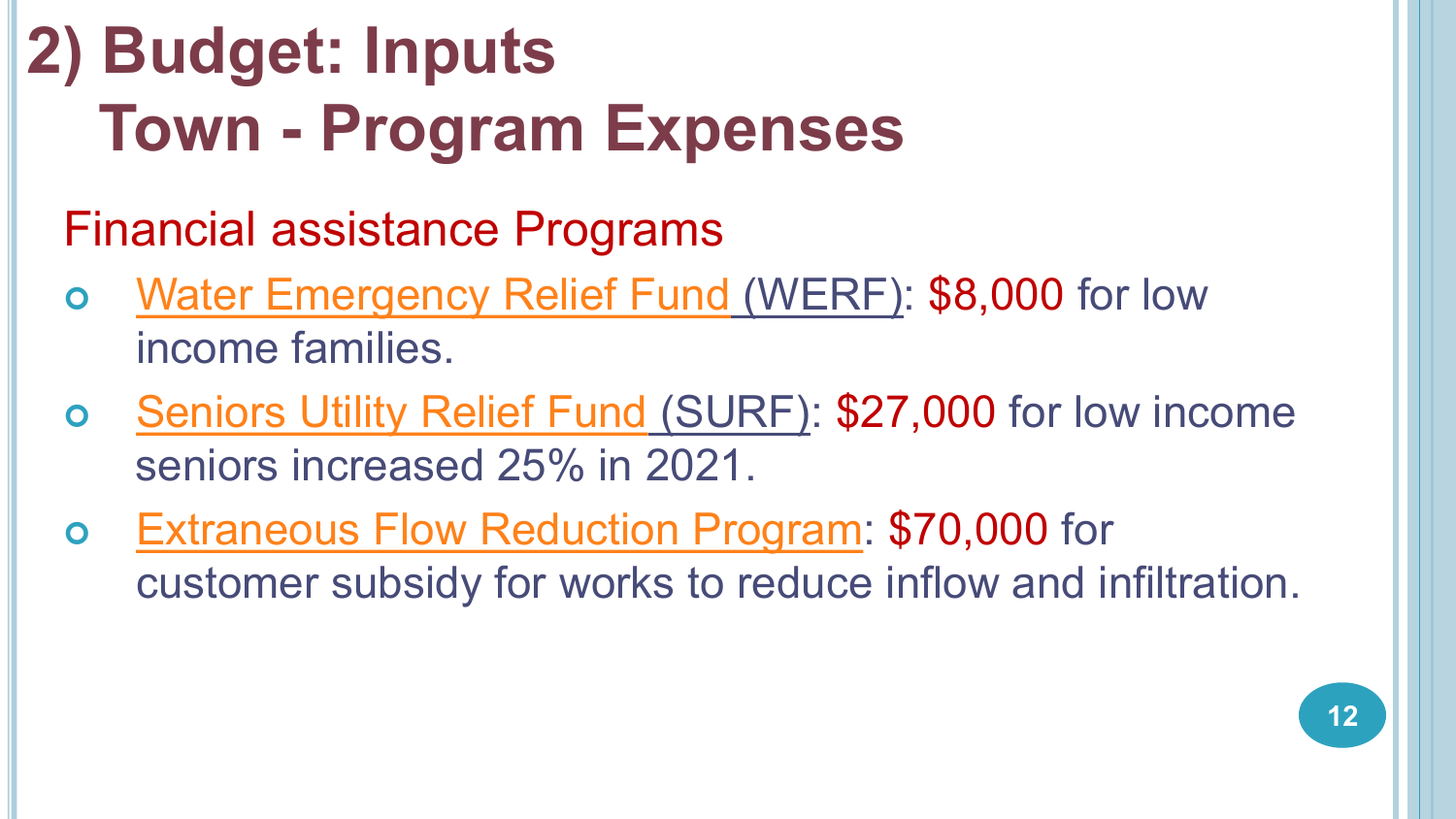## **2) Budget: Inputs Town - Program Expenses**

- Financial assistance Programs
- o [Water Emergency Relief Fund](http://salvationarmyforterie.org/utility-help) (WERF): \$8,000 for low income families.
- [Seniors Utility Relief Fund](https://www.forterie.ca/pages/SeniorsUlitlityReliefProgram) (SURF): \$27,000 for low income seniors increased 25% in 2021.
- [Extraneous Flow Reduction Program:](https://www.forterie.ca/resource/files/8BDD814C40F97F048525813200722623/%24File/Fillable%20PDF%20Extraneous%20Flow%20Application%20for%20Funding%20Subsidy.pdf) \$70,000 for customer subsidy for works to reduce inflow and infiltration.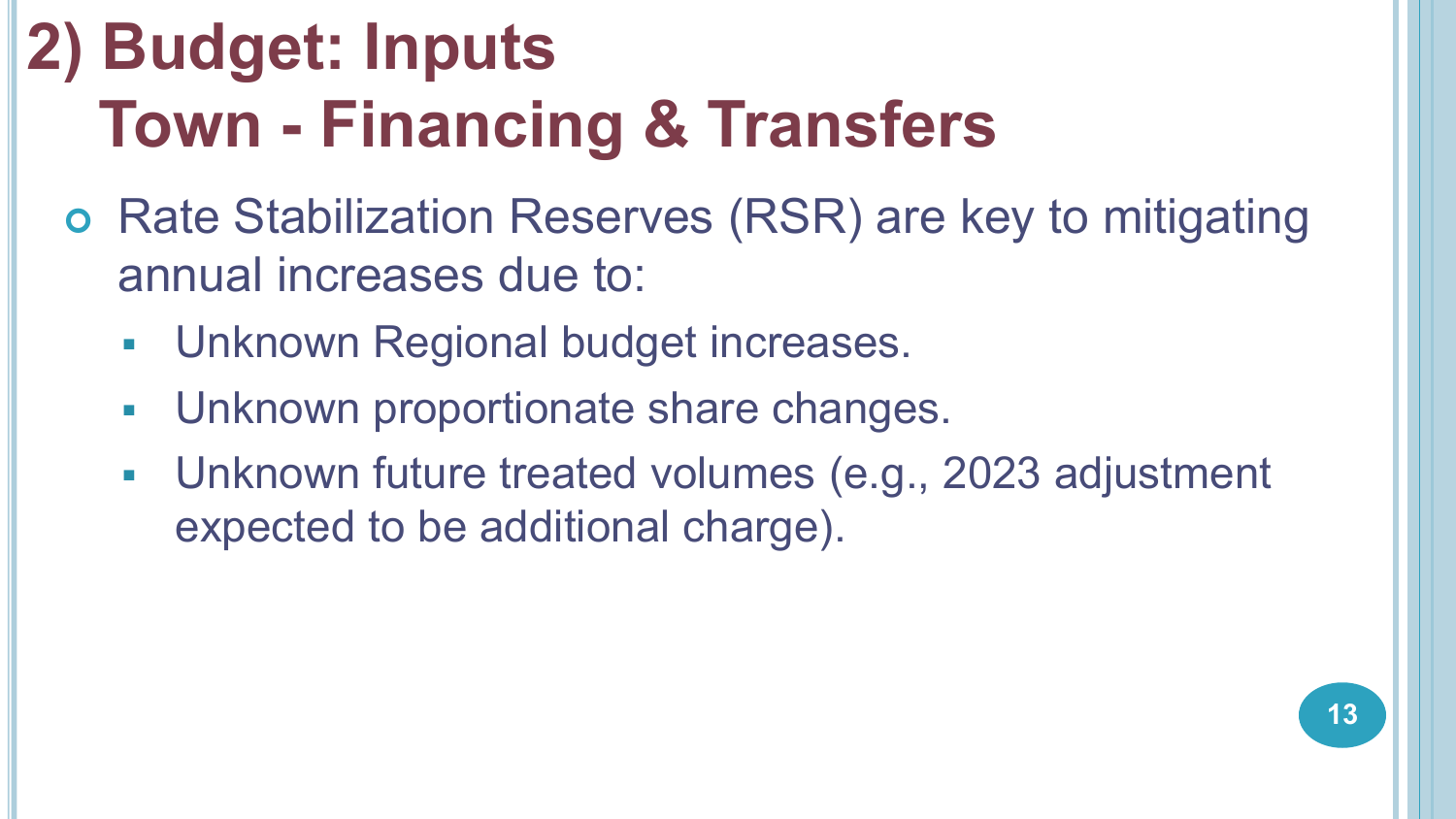## **2) Budget: Inputs Town - Financing & Transfers**

- o Rate Stabilization Reserves (RSR) are key to mitigating annual increases due to:
	- **-** Unknown Regional budget increases.
	- **-** Unknown proportionate share changes.
	- Unknown future treated volumes (e.g., 2023 adjustment expected to be additional charge).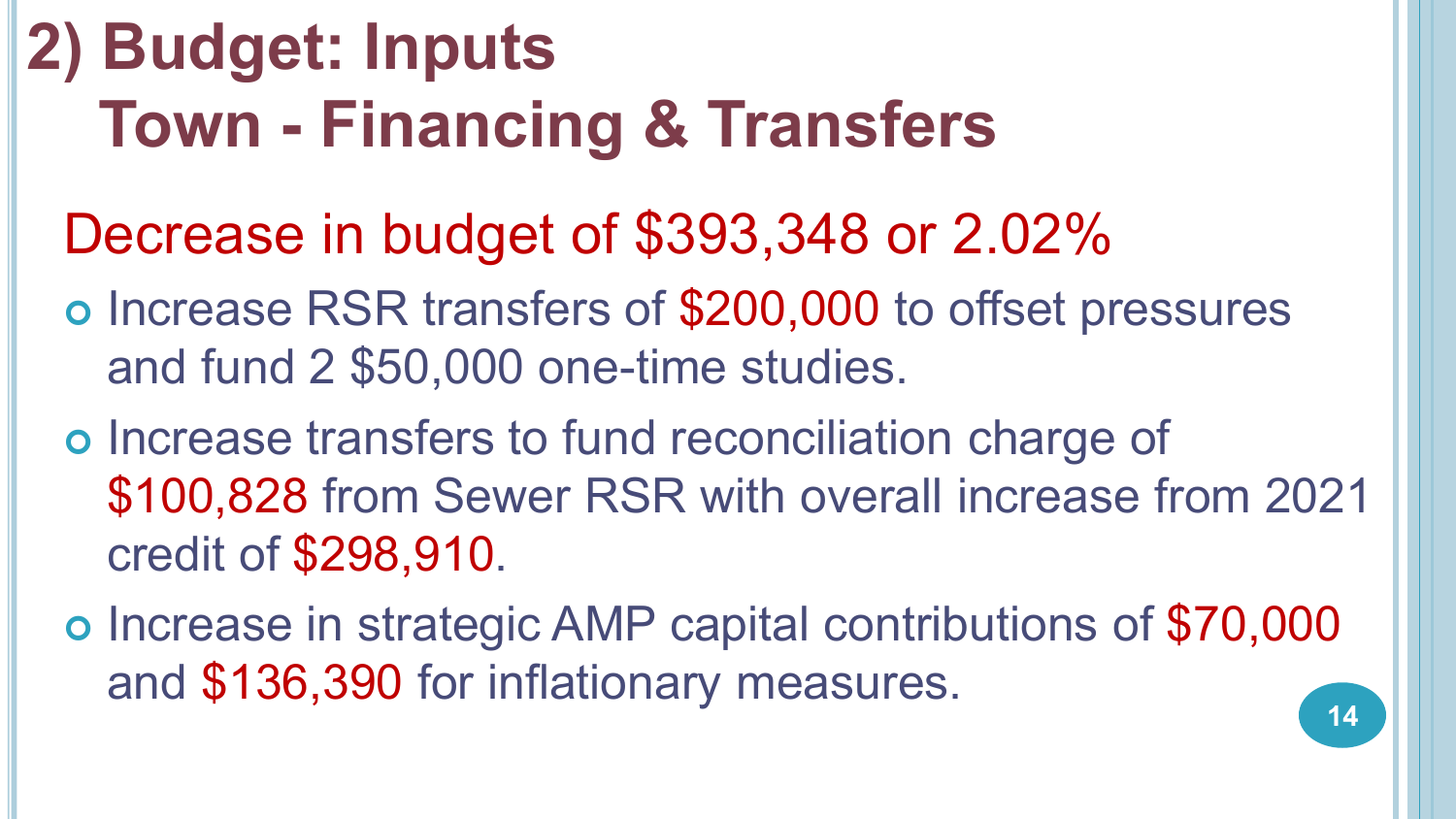#### **2) Budget: Inputs Town - Financing & Transfers**

- Decrease in budget of \$393,348 or 2.02%
- o Increase RSR transfers of \$200,000 to offset pressures and fund 2 \$50,000 one-time studies.
- o Increase transfers to fund reconciliation charge of \$100,828 from Sewer RSR with overall increase from 2021 credit of \$298,910.
- o Increase in strategic AMP capital contributions of \$70,000 and \$136,390 for inflationary measures. **14**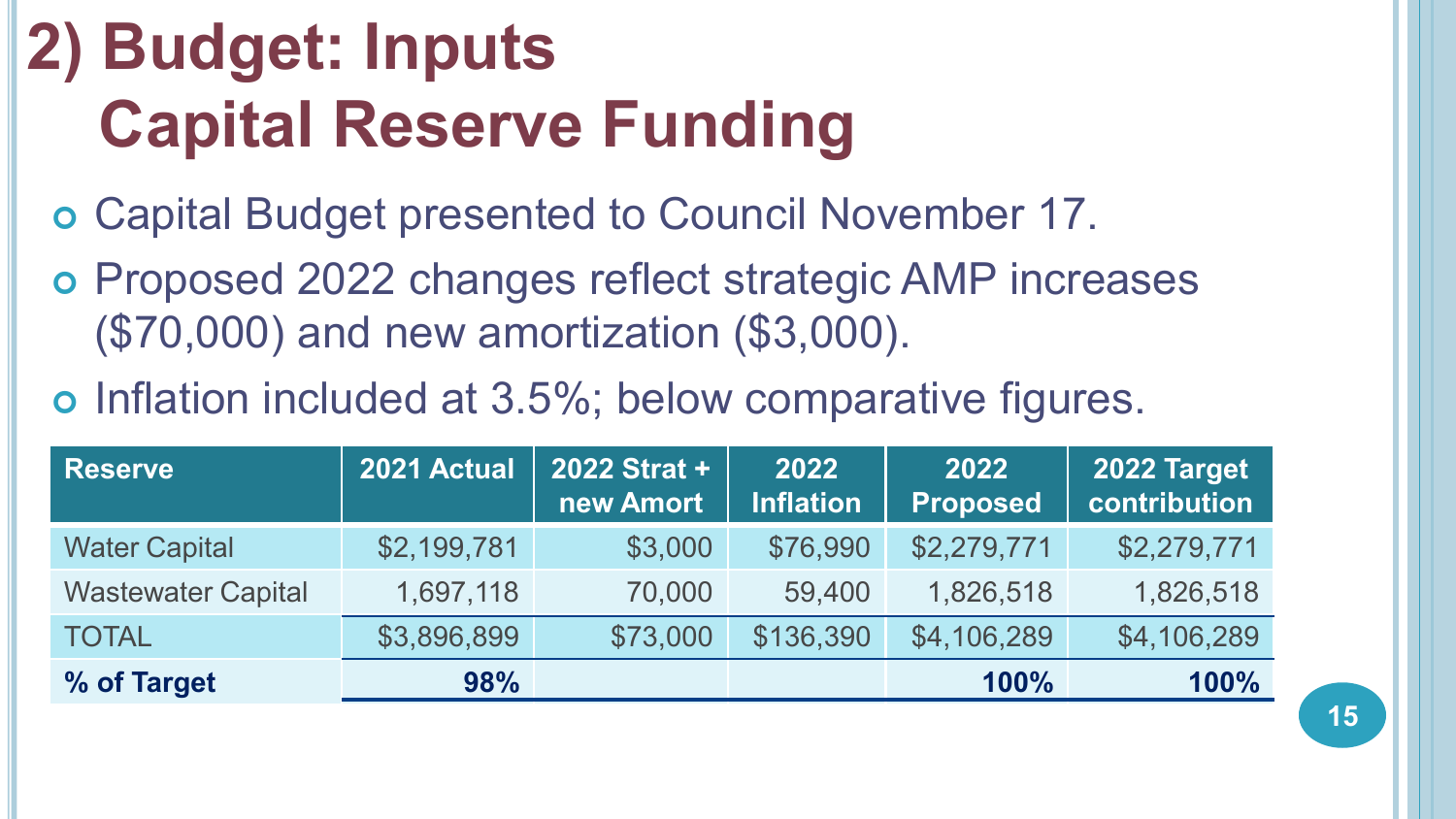#### **2) Budget: Inputs Capital Reserve Funding**

- Capital Budget presented to Council November 17.
- Proposed 2022 changes reflect strategic AMP increases (\$70,000) and new amortization (\$3,000).
- o Inflation included at 3.5%; below comparative figures.

| <b>Reserve</b>            | 2021 Actual | 2022 Strat +<br>new Amort | 2022<br><b>Inflation</b> | 2022<br><b>Proposed</b> | 2022 Target<br>contribution |
|---------------------------|-------------|---------------------------|--------------------------|-------------------------|-----------------------------|
| <b>Water Capital</b>      | \$2,199,781 | \$3,000                   | \$76,990                 | \$2,279,771             | \$2,279,771                 |
| <b>Wastewater Capital</b> | 1,697,118   | 70,000                    | 59,400                   | 1,826,518               | 1,826,518                   |
| <b>TOTAL</b>              | \$3,896,899 | \$73,000                  | \$136,390                | \$4,106,289             | \$4,106,289                 |
| % of Target               | 98%         |                           |                          | 100%                    | 100%                        |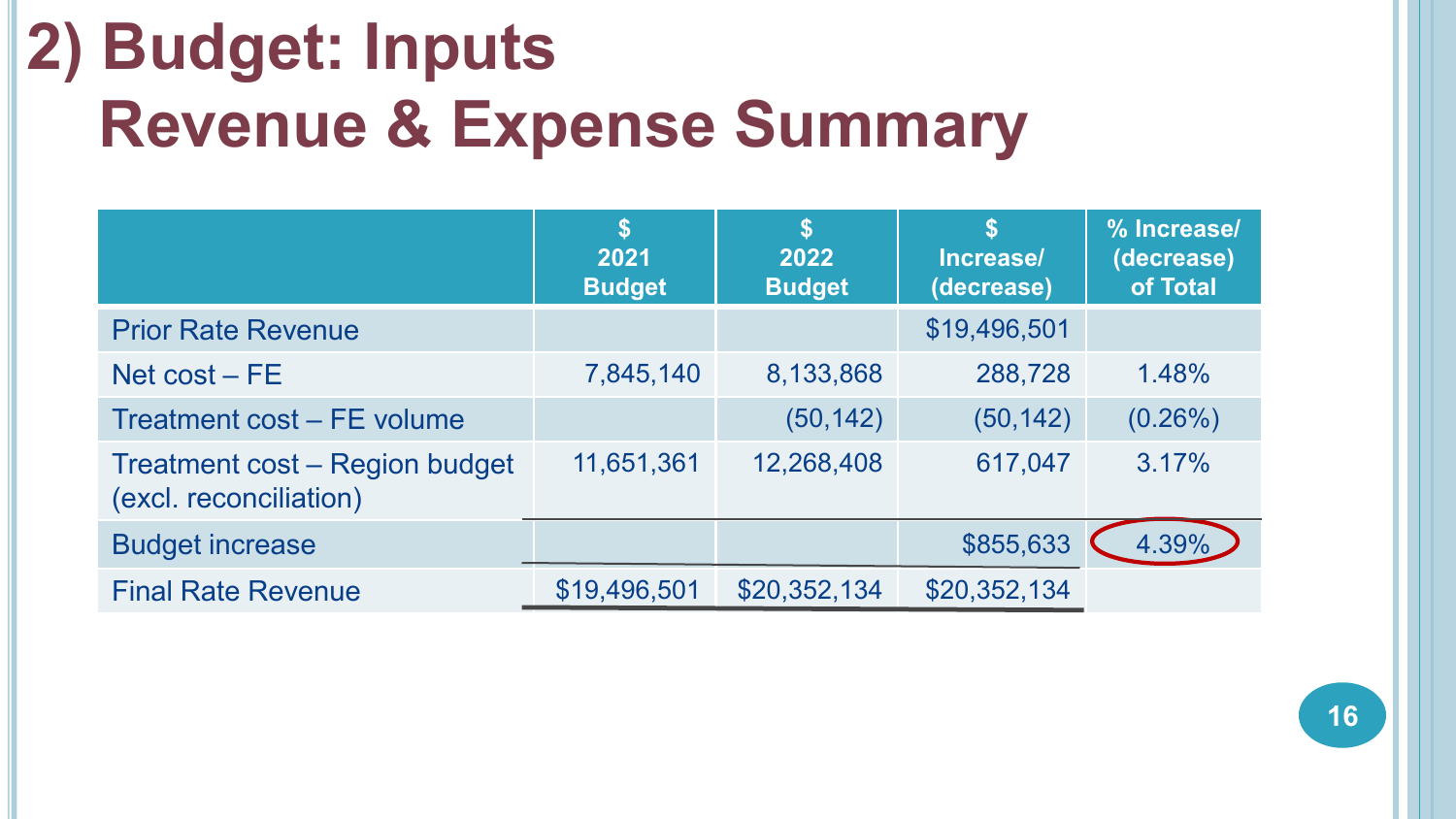#### **2) Budget: Inputs Revenue & Expense Summary**

|                                                          | $\boldsymbol{\mathsf{s}}$<br>2021<br><b>Budget</b> | \$<br>2022<br><b>Budget</b> | \$<br>Increase/<br>(decrease) | % Increase/<br>(decrease)<br>of Total |
|----------------------------------------------------------|----------------------------------------------------|-----------------------------|-------------------------------|---------------------------------------|
| <b>Prior Rate Revenue</b>                                |                                                    |                             | \$19,496,501                  |                                       |
| Net $cost - FE$                                          | 7,845,140                                          | 8,133,868                   | 288,728                       | 1.48%                                 |
| Treatment cost – FE volume                               |                                                    | (50, 142)                   | (50, 142)                     | $(0.26\%)$                            |
| Treatment cost - Region budget<br>(excl. reconciliation) | 11,651,361                                         | 12,268,408                  | 617,047                       | 3.17%                                 |
| <b>Budget increase</b>                                   |                                                    |                             | \$855,633                     | 4.39%                                 |
| <b>Final Rate Revenue</b>                                | \$19,496,501                                       | \$20,352,134                | \$20,352,134                  |                                       |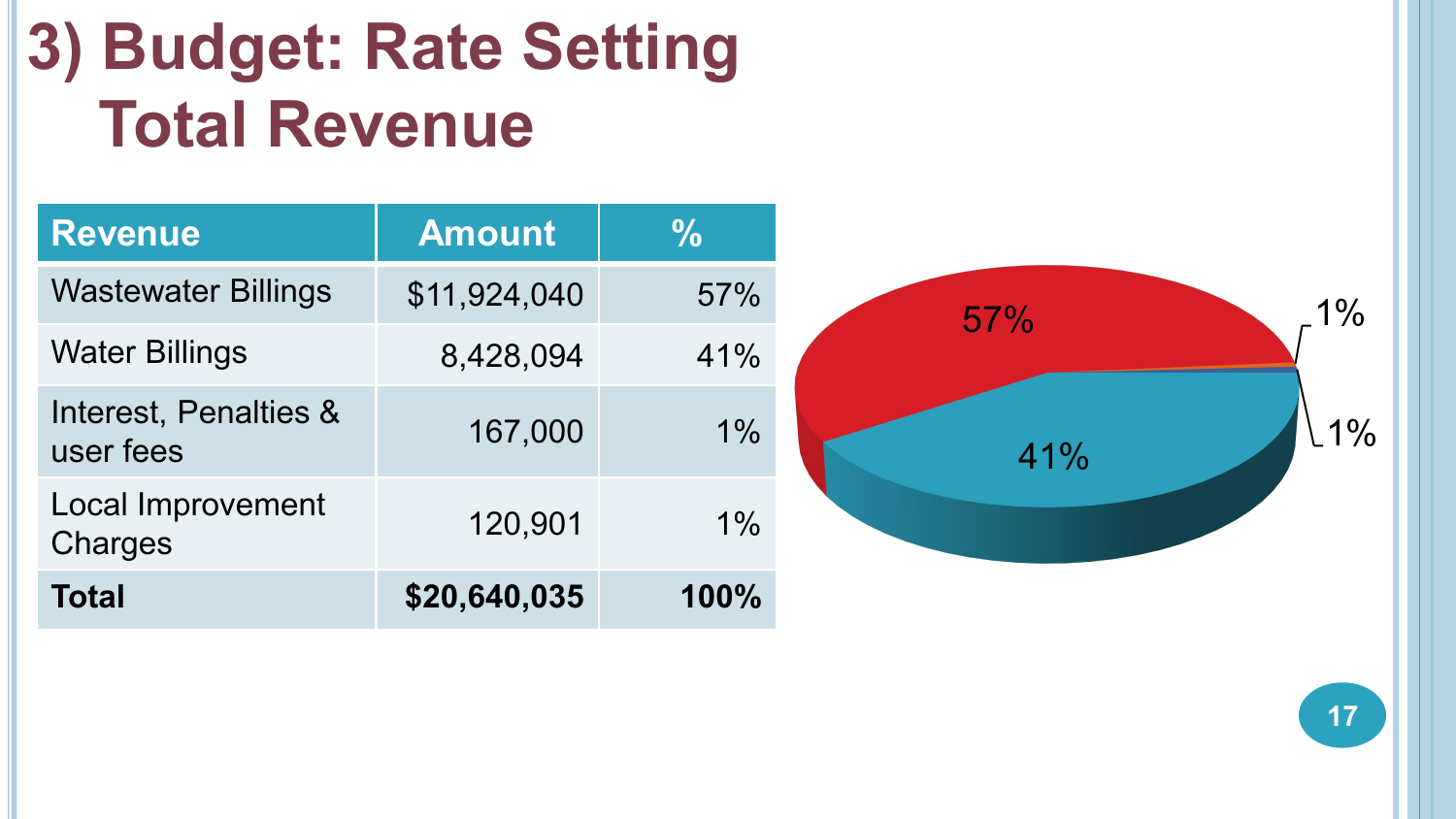#### **3) Budget: Rate Setting Total Revenue**

| <b>Revenue</b>                      | <b>Amount</b> | $\frac{0}{0}$ |
|-------------------------------------|---------------|---------------|
| <b>Wastewater Billings</b>          | \$11,924,040  | 57%           |
| <b>Water Billings</b>               | 8,428,094     | 41%           |
| Interest, Penalties &<br>user fees  | 167,000       | $1\%$         |
| <b>Local Improvement</b><br>Charges | 120,901       | $1\%$         |
| <b>Total</b>                        | \$20,640,035  | 100%          |

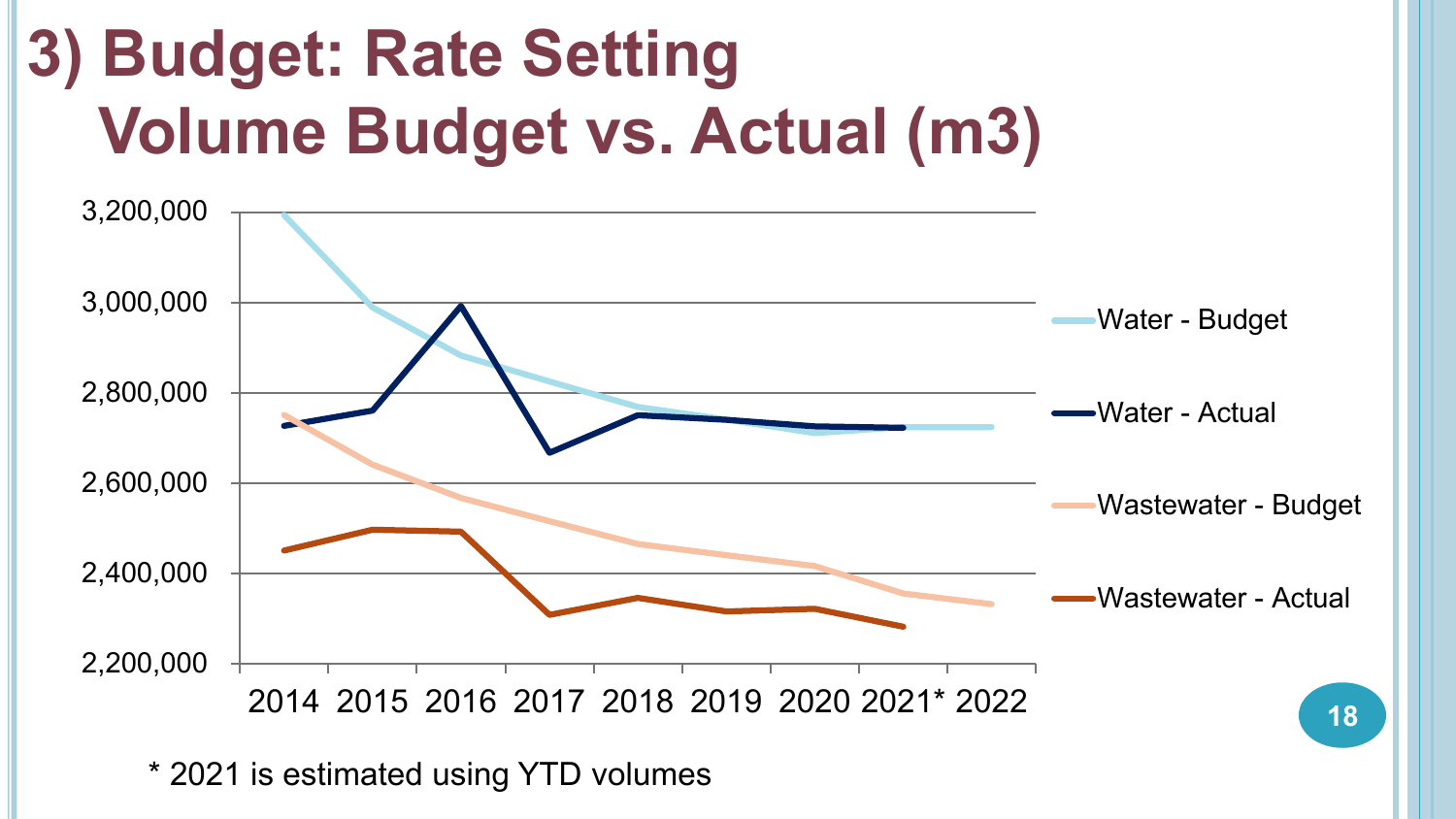## **3) Budget: Rate Setting Volume Budget vs. Actual (m3)**



\* 2021 is estimated using YTD volumes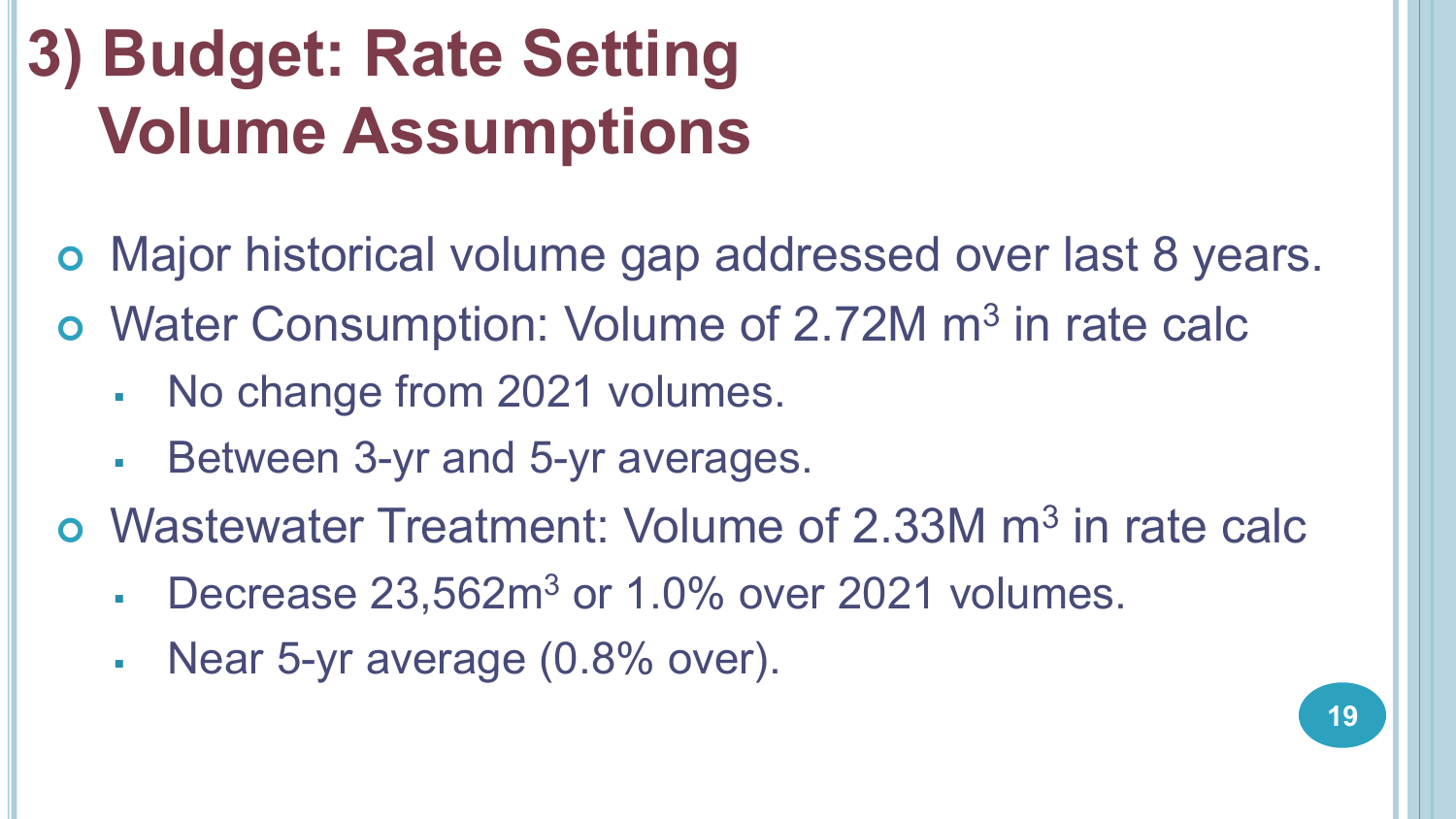## **3) Budget: Rate Setting Volume Assumptions**

- Major historical volume gap addressed over last 8 years.
- o Water Consumption: Volume of 2.72M m<sup>3</sup> in rate calc
	- No change from 2021 volumes.
	- Between 3-yr and 5-yr averages.
- Wastewater Treatment: Volume of 2.33M m3 in rate calc
	- Decrease 23,562m<sup>3</sup> or 1.0% over 2021 volumes.
	- Near 5-yr average (0.8% over).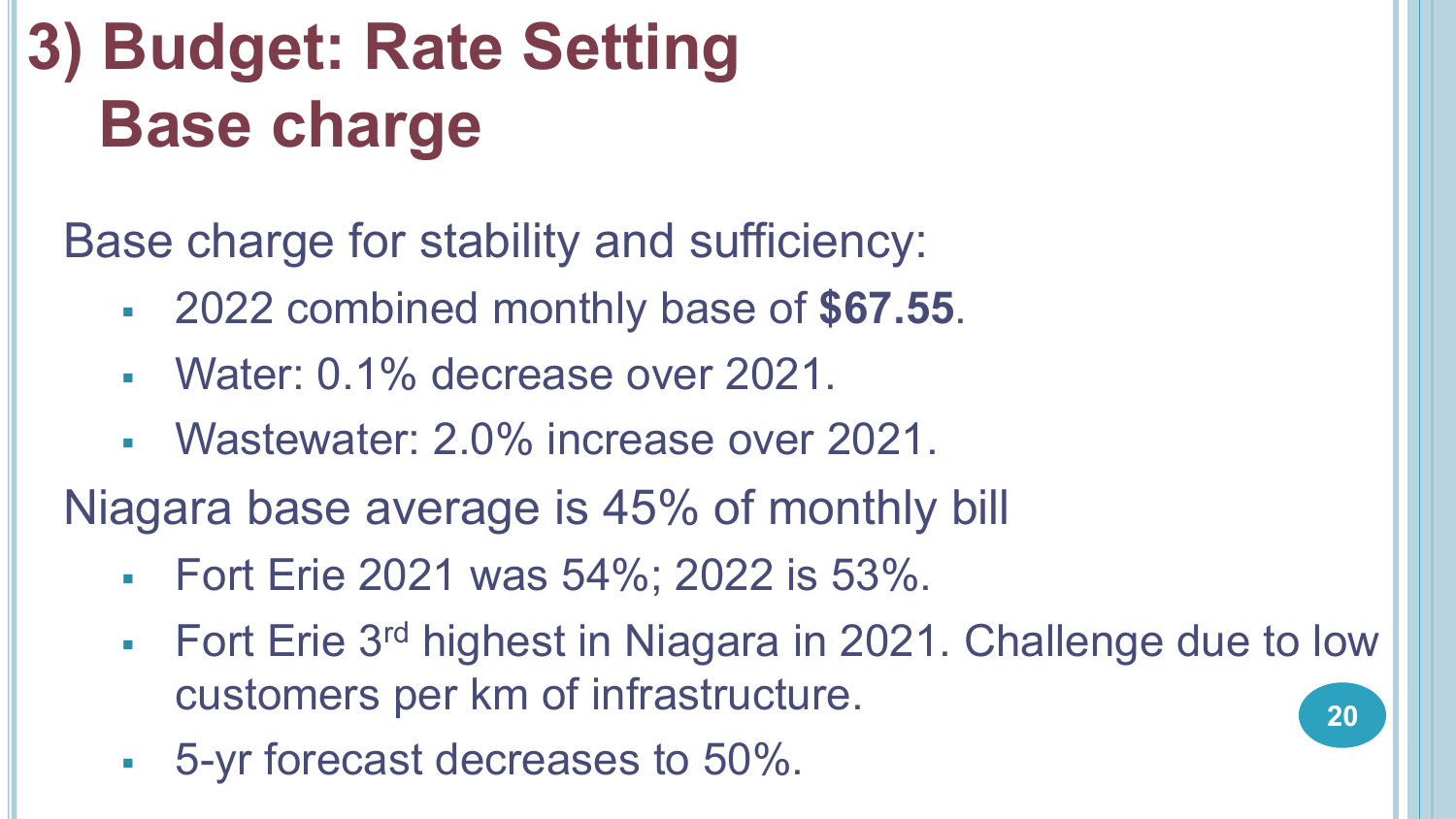#### **3) Budget: Rate Setting Base charge**

Base charge for stability and sufficiency:

- 2022 combined monthly base of **\$67.55**.
- Water: 0.1% decrease over 2021.
- Wastewater: 2.0% increase over 2021.

Niagara base average is 45% of monthly bill

- Fort Erie 2021 was 54%; 2022 is 53%.
- Fort Erie 3<sup>rd</sup> highest in Niagara in 2021. Challenge due to low customers per km of infrastructure. **20**
- 5-yr forecast decreases to 50%.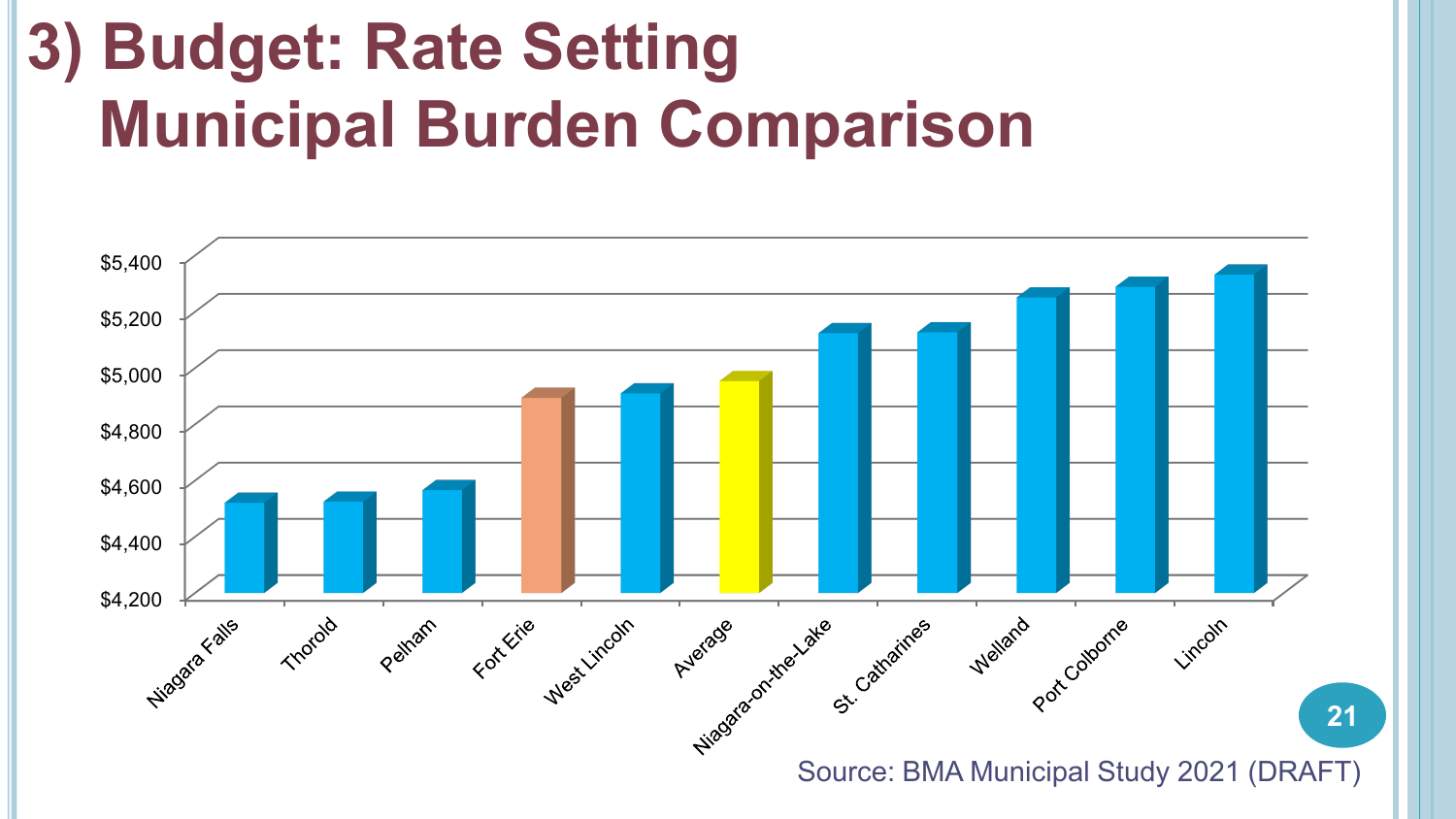#### **3) Budget: Rate Setting Municipal Burden Comparison**

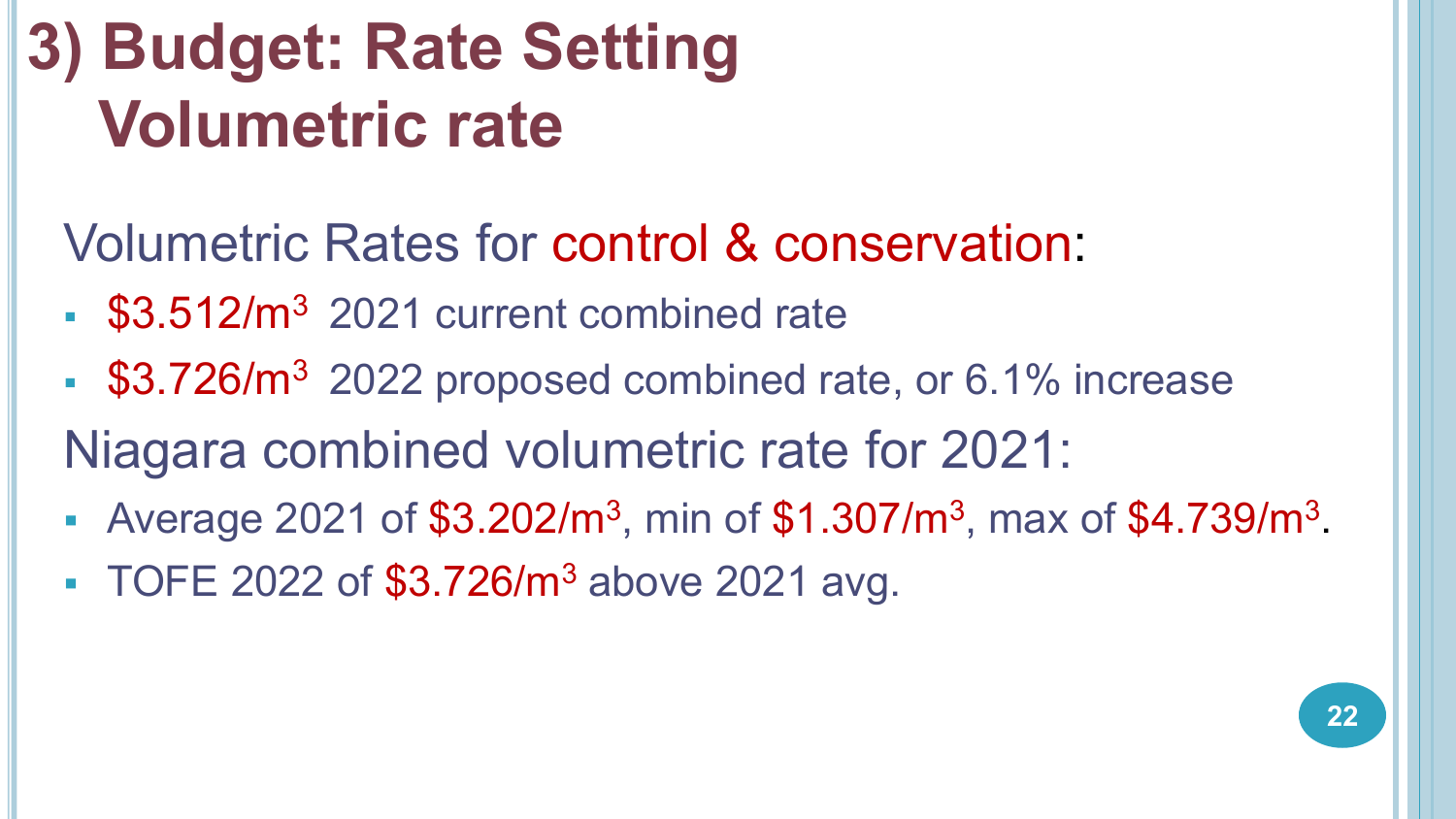#### **3) Budget: Rate Setting Volumetric rate**

#### Volumetric Rates for control & conservation:

- $\cdot$  \$3.512/m<sup>3</sup> 2021 current combined rate
- **\$3.726/m<sup>3</sup> 2022 proposed combined rate, or 6.1% increase**

Niagara combined volumetric rate for 2021:

- Average 2021 of  $$3.202/m^3$ , min of  $$1.307/m^3$ , max of  $$4.739/m^3$ .
- TOFE 2022 of \$3.726/m<sup>3</sup> above 2021 avg.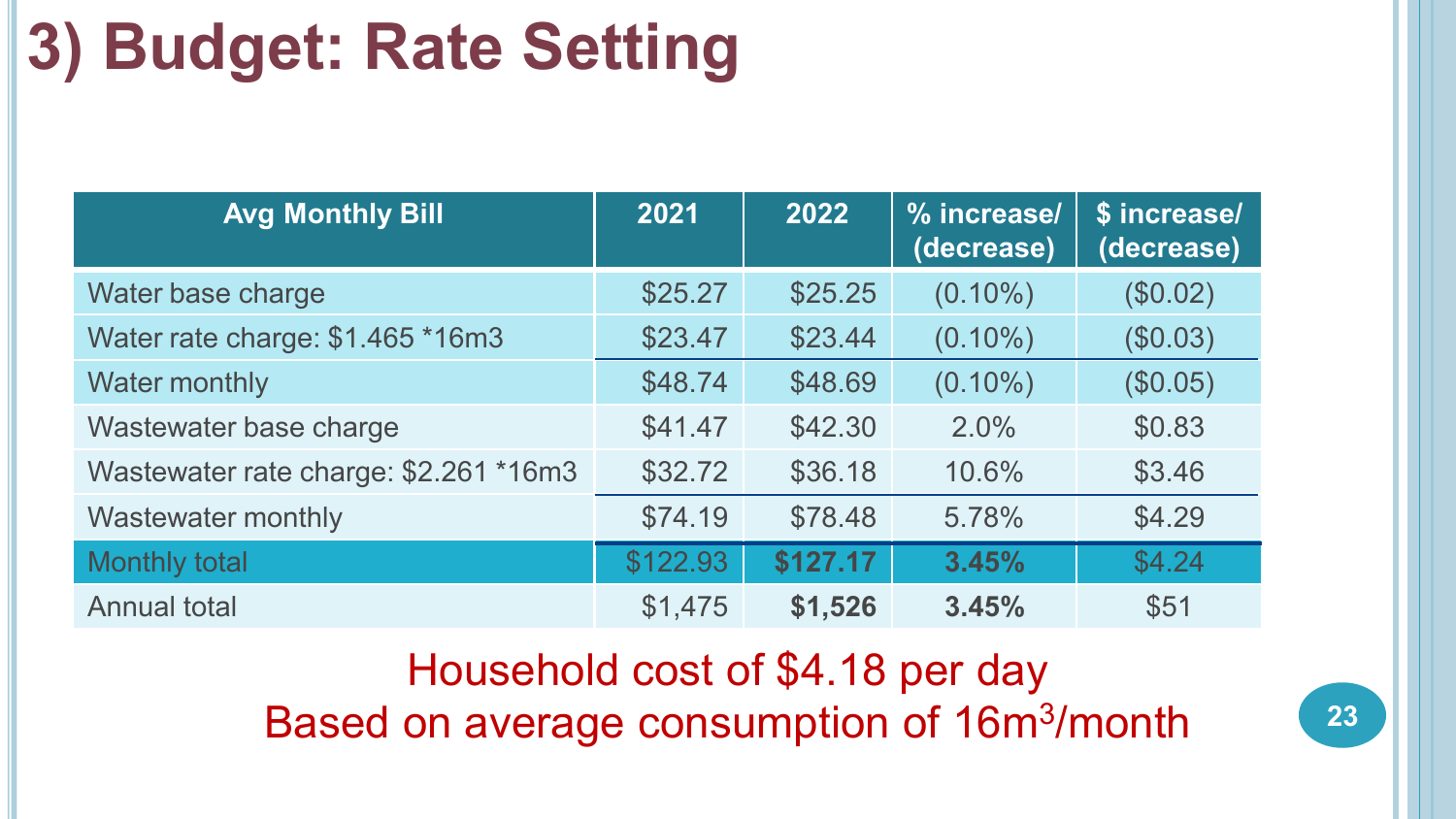#### **3) Budget: Rate Setting**

| <b>Avg Monthly Bill</b>               | 2021     | 2022     | % increase/<br>(decrease) | \$ increase/<br>(decrease) |
|---------------------------------------|----------|----------|---------------------------|----------------------------|
| Water base charge                     | \$25.27  | \$25.25  | $(0.10\%)$                | (\$0.02)                   |
| Water rate charge: \$1.465 *16m3      | \$23.47  | \$23.44  | $(0.10\%)$                | (\$0.03)                   |
| <b>Water monthly</b>                  | \$48.74  | \$48.69  | $(0.10\%)$                | (\$0.05)                   |
| Wastewater base charge                | \$41.47  | \$42.30  | 2.0%                      | \$0.83                     |
| Wastewater rate charge: \$2.261 *16m3 | \$32.72  | \$36.18  | 10.6%                     | \$3.46                     |
| <b>Wastewater monthly</b>             | \$74.19  | \$78.48  | 5.78%                     | \$4.29                     |
| <b>Monthly total</b>                  | \$122.93 | \$127.17 | 3.45%                     | \$4.24                     |
| Annual total                          | \$1,475  | \$1,526  | 3.45%                     | \$51                       |

#### Household cost of \$4.18 per day Based on average consumption of 16m3/month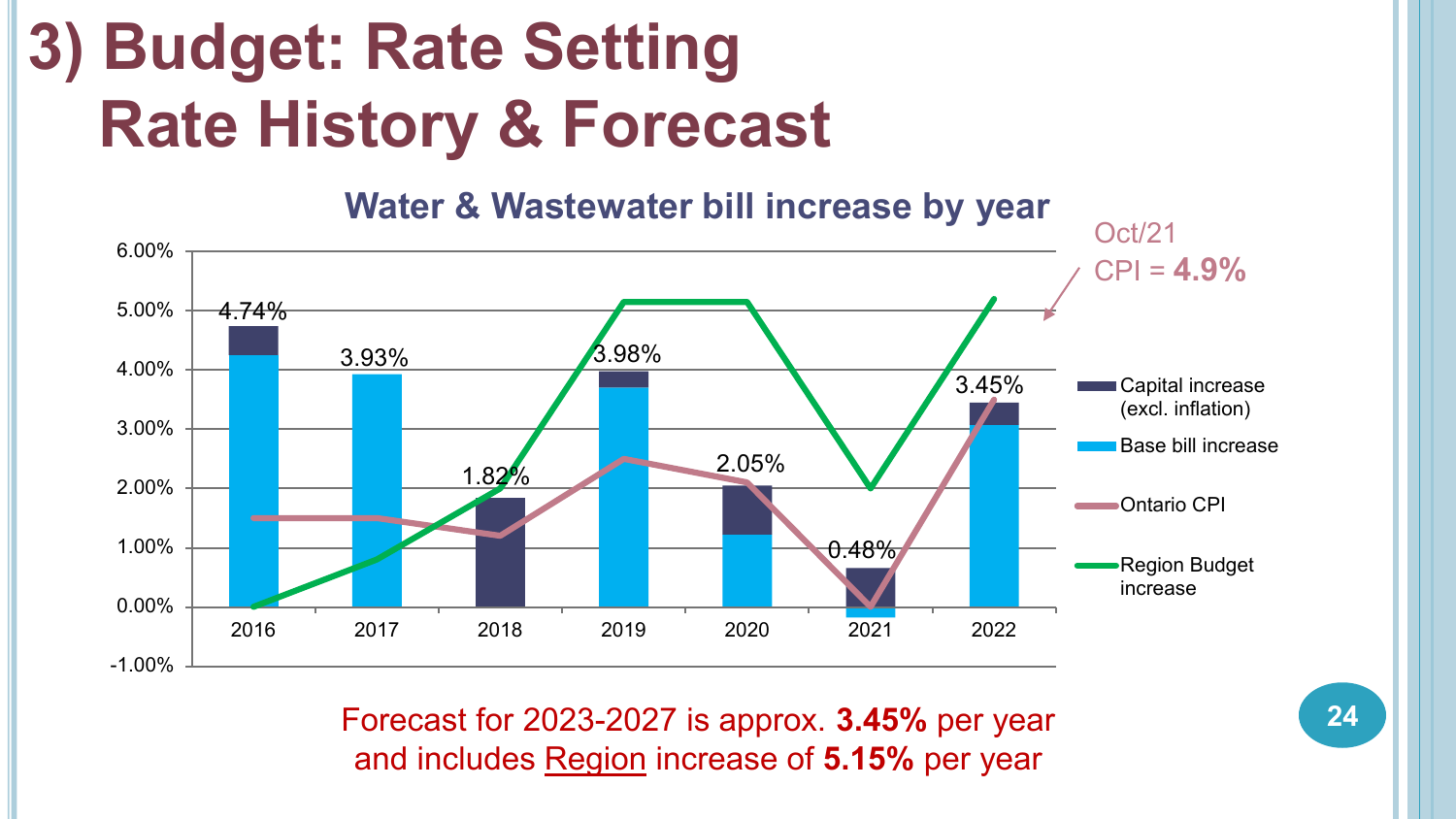#### **3) Budget: Rate Setting Rate History & Forecast**

**Water & Wastewater bill increase by year**



Forecast for 2023-2027 is approx. **3.45%** per year and includes Region increase of **5.15%** per year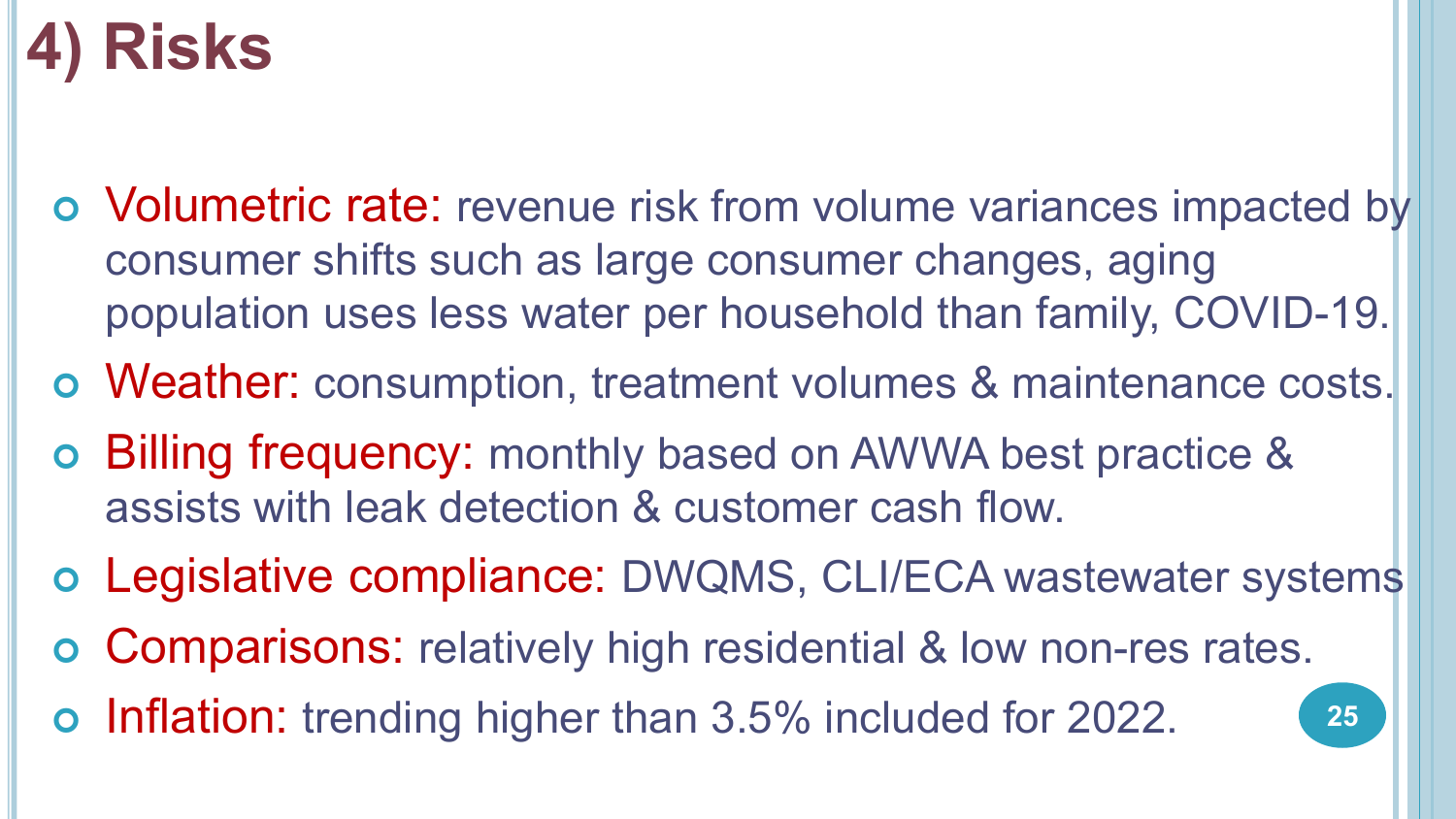#### **4) Risks**

- Volumetric rate: revenue risk from volume variances impacted by consumer shifts such as large consumer changes, aging population uses less water per household than family, COVID-19.
- Weather: consumption, treatment volumes & maintenance costs.
- Billing frequency: monthly based on AWWA best practice & assists with leak detection & customer cash flow.
- Legislative compliance: DWQMS, CLI/ECA wastewater systems
- Comparisons: relatively high residential & low non-res rates.
- o Inflation: trending higher than 3.5% included for 2022.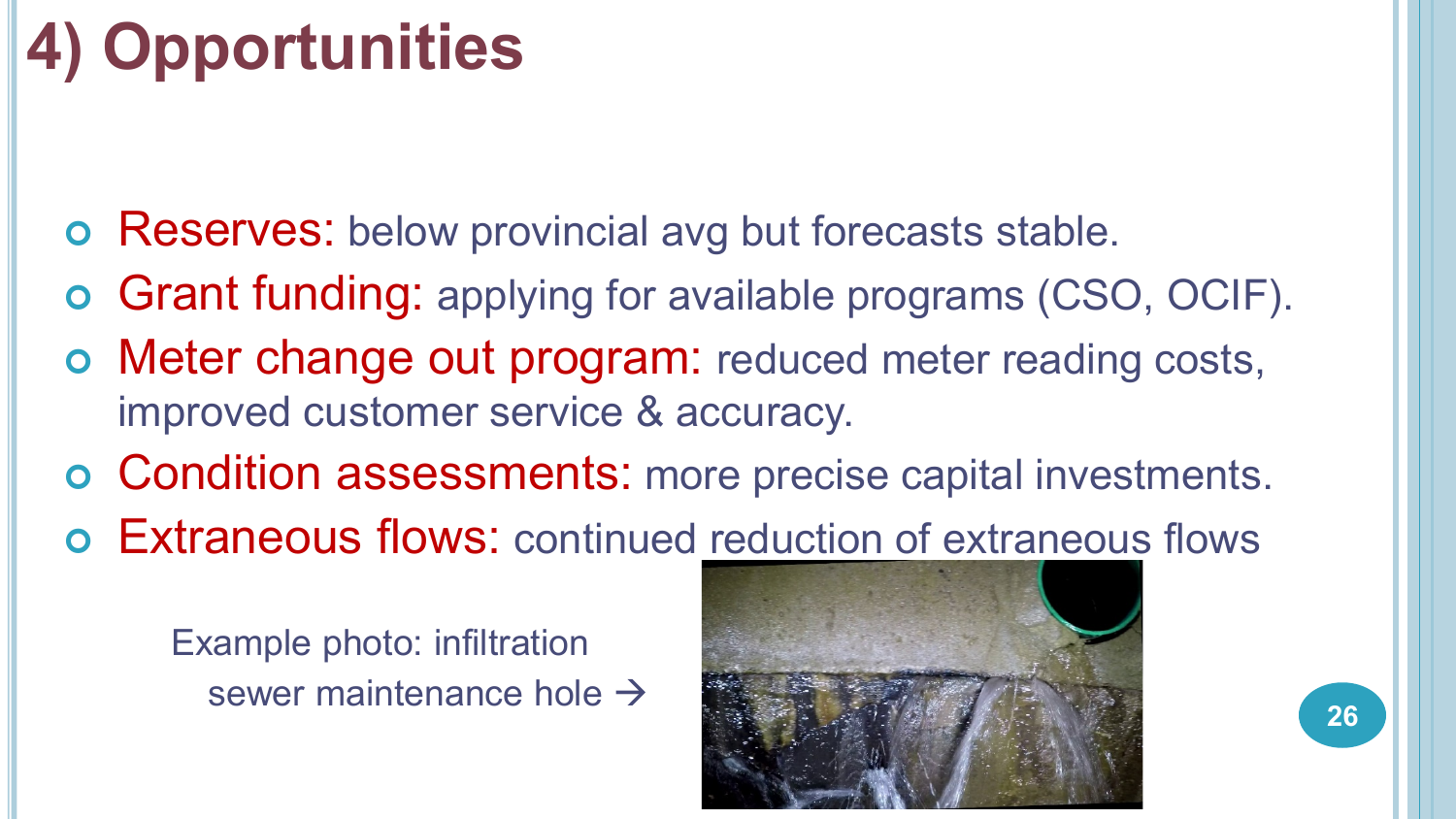#### **4) Opportunities**

- **o** Reserves: below provincial avg but forecasts stable.
- Grant funding: applying for available programs (CSO, OCIF).
- o Meter change out program: reduced meter reading costs, improved customer service & accuracy.
- Condition assessments: more precise capital investments.
- Extraneous flows: continued reduction of extraneous flows

Example photo: infiltration sewer maintenance hole  $\rightarrow$ 

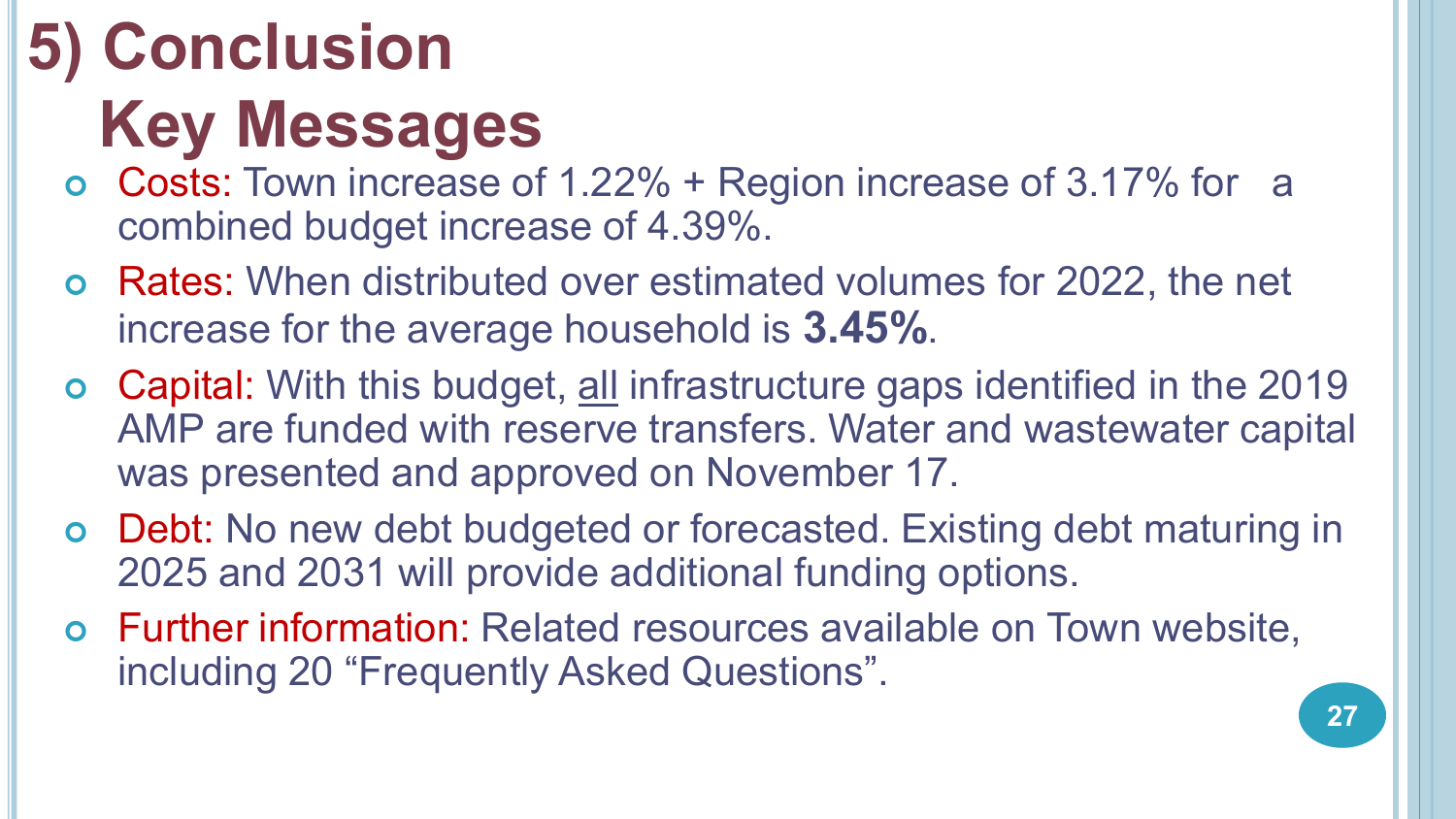## **5) Conclusion Key Messages**

- Costs: Town increase of 1.22% + Region increase of 3.17% for a combined budget increase of 4.39%.
- Rates: When distributed over estimated volumes for 2022, the net increase for the average household is **3.45%**.
- Capital: With this budget, all infrastructure gaps identified in the 2019 AMP are funded with reserve transfers. Water and wastewater capital was presented and approved on November 17.
- Debt: No new debt budgeted or forecasted. Existing debt maturing in 2025 and 2031 will provide additional funding options.
- Further information: Related resources available on Town website, including 20 "Frequently Asked Questions".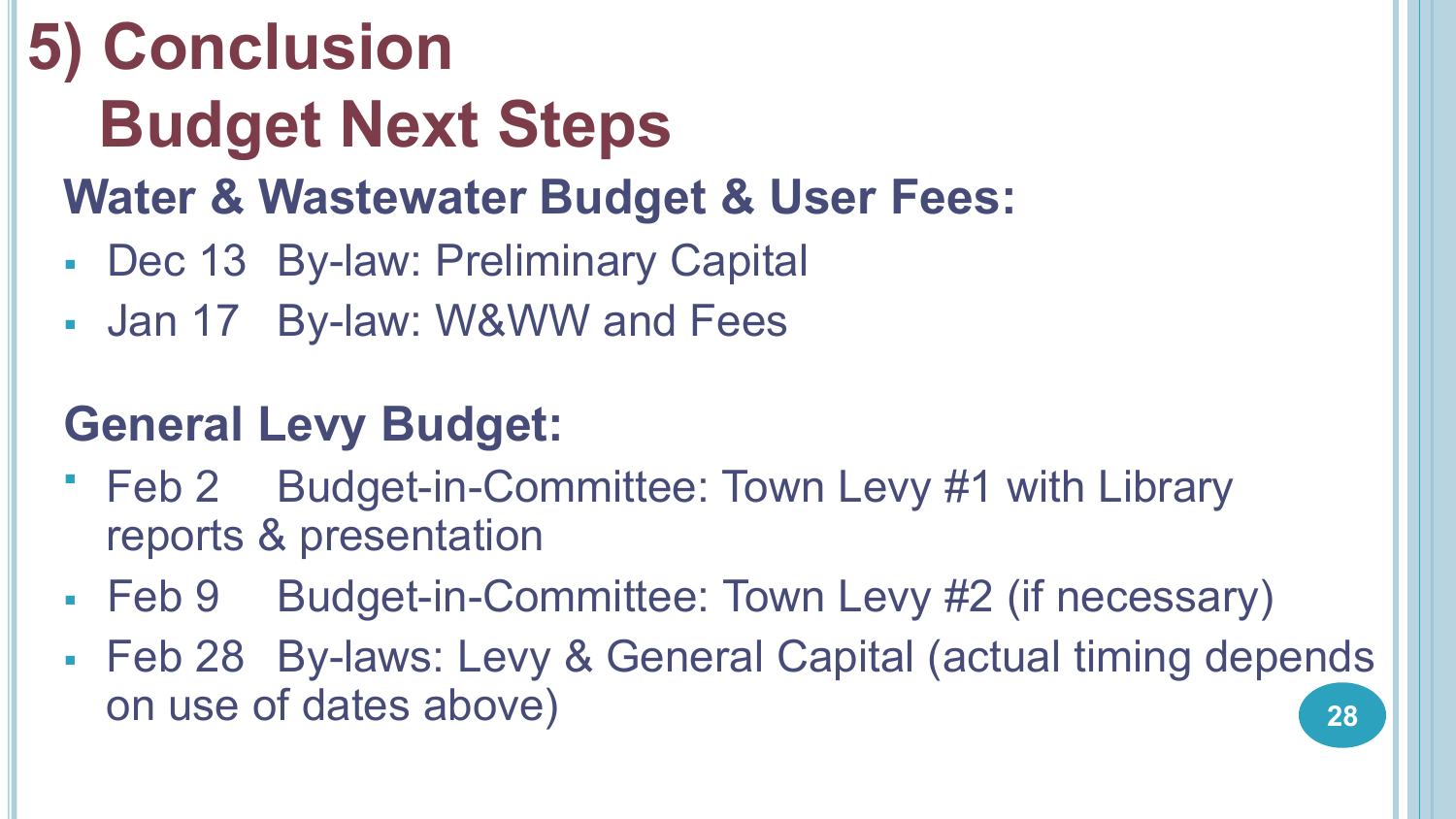## **5) Conclusion Budget Next Steps Water & Wastewater Budget & User Fees:**

- Dec 13 By-law: Preliminary Capital
- Jan 17 By-law: W&WW and Fees

#### **General Levy Budget:**

- Feb 2 Budget-in-Committee: Town Levy #1 with Library reports & presentation
- Feb 9 Budget-in-Committee: Town Levy #2 (if necessary)
- Feb 28 By-laws: Levy & General Capital (actual timing depends on use of dates above) **<sup>28</sup>**